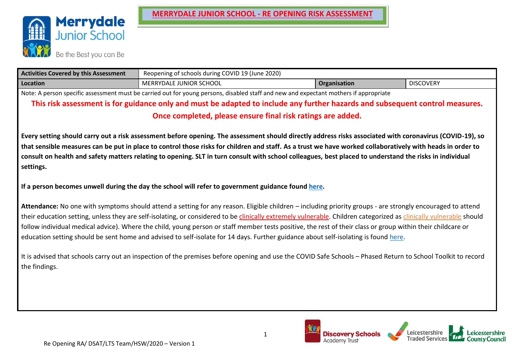

| <b>Activities Covered by this Assessment</b>                                                                                          | Reopening of schools during COVID 19 (June 2020)                   |  |  |  |  |  |  |  |  |  |  |
|---------------------------------------------------------------------------------------------------------------------------------------|--------------------------------------------------------------------|--|--|--|--|--|--|--|--|--|--|
| Location                                                                                                                              | MERRYDALE JUNIOR SCHOOL<br><b>DISCOVERY</b><br><b>Organisation</b> |  |  |  |  |  |  |  |  |  |  |
| Note: A person specific assessment must be carried out for young persons, disabled staff and new and expectant mothers if appropriate |                                                                    |  |  |  |  |  |  |  |  |  |  |

**This risk assessment is for guidance only and must be adapted to include any further hazards and subsequent control measures. Once completed, please ensure final risk ratings are added.**

**Every setting should carry out a risk assessment before opening. The assessment should directly address risks associated with coronavirus (COVID-19), so that sensible measures can be put in place to control those risks for children and staff. As a trust we have worked collaboratively with heads in order to consult on health and safety matters relating to opening. SLT in turn consult with school colleagues, best placed to understand the risks in individual settings.**

**If a person becomes unwell during the day the school will refer to government guidance found [here.](https://www.gov.uk/government/publications/coronavirus-covid-19-implementing-protective-measures-in-education-and-childcare-settings/coronavirus-covid-19-implementing-protective-measures-in-education-and-childcare-settings)**

**Attendance:** No one with symptoms should attend a setting for any reason. Eligible children – including priority groups - are strongly encouraged to attend their education setting, unless they are self-isolating, or considered to be clinically [extremely vulnerable.](https://www.gov.uk/government/publications/guidance-on-shielding-and-protecting-extremely-vulnerable-persons-from-covid-19/guidance-on-shielding-and-protecting-extremely-vulnerable-persons-from-covid-19) Children categorized as [clinically vulnerable](https://www.gov.uk/government/publications/staying-alert-and-safe-social-distancing/staying-alert-and-safe-social-distancing#clinically-vulnerable-people) should follow individual medical advice). Where the child, young person or staff member tests positive, the rest of their class or group within their childcare or education setting should be sent home and advised to self-isolate for 14 days. Further guidance about self-isolating is found [here.](https://www.gov.uk/government/publications/covid-19-stay-at-home-guidance/stay-at-home-guidance-for-households-with-possible-coronavirus-covid-19-infection)

It is advised that schools carry out an inspection of the premises before opening and use the COVID Safe Schools – Phased Return to School Toolkit to record the findings.

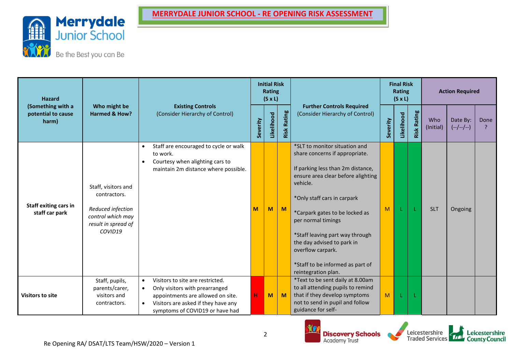

| <b>Hazard</b><br>(Something with a      |                                                                                                                 |                                                                                                                                                                                                             |          | <b>Initial Risk</b><br><b>Rating</b><br>$(S \times L)$ |                    |                                                                                                                                                                                                                                                                                                                                                                                                |          | <b>Final Risk</b><br>Rating<br>$(S \times L)$ |                |                  | <b>Action Required</b>  |      |
|-----------------------------------------|-----------------------------------------------------------------------------------------------------------------|-------------------------------------------------------------------------------------------------------------------------------------------------------------------------------------------------------------|----------|--------------------------------------------------------|--------------------|------------------------------------------------------------------------------------------------------------------------------------------------------------------------------------------------------------------------------------------------------------------------------------------------------------------------------------------------------------------------------------------------|----------|-----------------------------------------------|----------------|------------------|-------------------------|------|
| potential to cause<br>harm)             | Who might be<br>Harmed & How?                                                                                   | <b>Existing Controls</b><br>(Consider Hierarchy of Control)                                                                                                                                                 | Severity | Likelihood                                             | <b>Risk Rating</b> | <b>Further Controls Required</b><br>(Consider Hierarchy of Control)                                                                                                                                                                                                                                                                                                                            | Severity | Likelihood                                    | Rating<br>Risk | Who<br>(Initial) | Date By:<br>$(-/-/-/-)$ | Done |
| Staff exiting cars in<br>staff car park | Staff, visitors and<br>contractors.<br>Reduced infection<br>control which may<br>result in spread of<br>COVID19 | Staff are encouraged to cycle or walk<br>$\bullet$<br>to work.<br>Courtesy when alighting cars to<br>$\bullet$<br>maintain 2m distance where possible.                                                      | M        | M                                                      | M                  | *SLT to monitor situation and<br>share concerns if appropriate.<br>If parking less than 2m distance,<br>ensure area clear before alighting<br>vehicle.<br>*Only staff cars in carpark<br>*Carpark gates to be locked as<br>per normal timings<br>*Staff leaving part way through<br>the day advised to park in<br>overflow carpark.<br>*Staff to be informed as part of<br>reintegration plan. | M        |                                               |                | <b>SLT</b>       | Ongoing                 |      |
| <b>Visitors to site</b>                 | Staff, pupils,<br>parents/carer,<br>visitors and<br>contractors.                                                | Visitors to site are restricted.<br>$\bullet$<br>Only visitors with prearranged<br>$\bullet$<br>appointments are allowed on site.<br>Visitors are asked if they have any<br>symptoms of COVID19 or have had | н        | M                                                      | M                  | *Text to be sent daily at 8.00am<br>to all attending pupils to remind<br>that if they develop symptoms<br>not to send in pupil and follow<br>guidance for self-                                                                                                                                                                                                                                | M        |                                               |                |                  |                         |      |



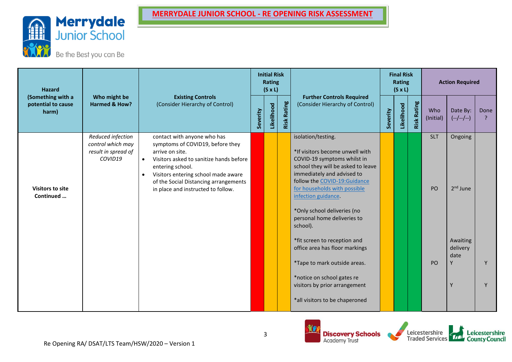

| <b>Hazard</b><br>(Something with a   |                                                                          |                                                                                                                                                                                                                                                                                                   |          | <b>Initial Risk</b><br>Rating<br>$(S \times L)$ |                |                                                                                                                                                                                                                                                                                                                                                                                                                                                                                                                             |          | <b>Final Risk</b><br>Rating<br>$(S \times L)$ |                    |                                    | <b>Action Required</b>                                                    |              |
|--------------------------------------|--------------------------------------------------------------------------|---------------------------------------------------------------------------------------------------------------------------------------------------------------------------------------------------------------------------------------------------------------------------------------------------|----------|-------------------------------------------------|----------------|-----------------------------------------------------------------------------------------------------------------------------------------------------------------------------------------------------------------------------------------------------------------------------------------------------------------------------------------------------------------------------------------------------------------------------------------------------------------------------------------------------------------------------|----------|-----------------------------------------------|--------------------|------------------------------------|---------------------------------------------------------------------------|--------------|
| potential to cause<br>harm)          | Who might be<br>Harmed & How?                                            | <b>Existing Controls</b><br>(Consider Hierarchy of Control)                                                                                                                                                                                                                                       | Severity | Likelihood                                      | Rating<br>Risk | <b>Further Controls Required</b><br>(Consider Hierarchy of Control)                                                                                                                                                                                                                                                                                                                                                                                                                                                         | Severity | Likelihood                                    | <b>Risk Rating</b> | Who<br>(Initial)                   | Date By:<br>$(-/-/-)$                                                     | Done         |
| <b>Visitors to site</b><br>Continued | Reduced infection<br>control which may<br>result in spread of<br>COVID19 | contact with anyone who has<br>symptoms of COVID19, before they<br>arrive on site.<br>Visitors asked to sanitize hands before<br>$\bullet$<br>entering school.<br>Visitors entering school made aware<br>$\bullet$<br>of the Social Distancing arrangements<br>in place and instructed to follow. |          |                                                 |                | isolation/testing.<br>*If visitors become unwell with<br>COVID-19 symptoms whilst in<br>school they will be asked to leave<br>immediately and advised to<br>follow the COVID-19:Guidance<br>for households with possible<br>infection guidance<br>*Only school deliveries (no<br>personal home deliveries to<br>school).<br>*fit screen to reception and<br>office area has floor markings<br>*Tape to mark outside areas.<br>*notice on school gates re<br>visitors by prior arrangement<br>*all visitors to be chaperoned |          |                                               |                    | <b>SLT</b><br>PO<br>P <sub>O</sub> | Ongoing<br>2 <sup>nd</sup> June<br>Awaiting<br>delivery<br>date<br>۷<br>Y | $\mathsf{v}$ |



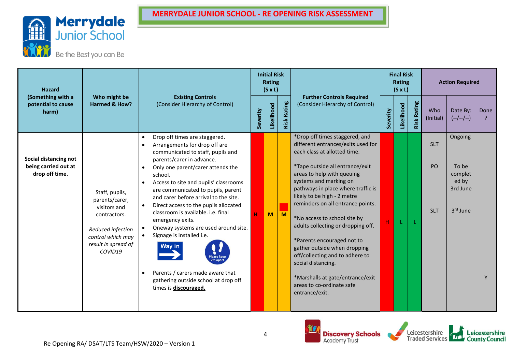

| <b>Hazard</b><br>(Something with a                              |                                                                                                                                              |                                                                                                                                                                                                                                                                                                                                                                                                                                                                                                                                                                                                                                                                               |          | <b>Initial Risk</b><br>Rating<br>$(S \times L)$ |                |                                                                                                                                                                                                                                                                                                                                                                                                                                                                                                                                                                                           |          | <b>Final Risk</b><br>Rating<br>$(S \times L)$ |                    |                                | <b>Action Required</b>                                       |      |
|-----------------------------------------------------------------|----------------------------------------------------------------------------------------------------------------------------------------------|-------------------------------------------------------------------------------------------------------------------------------------------------------------------------------------------------------------------------------------------------------------------------------------------------------------------------------------------------------------------------------------------------------------------------------------------------------------------------------------------------------------------------------------------------------------------------------------------------------------------------------------------------------------------------------|----------|-------------------------------------------------|----------------|-------------------------------------------------------------------------------------------------------------------------------------------------------------------------------------------------------------------------------------------------------------------------------------------------------------------------------------------------------------------------------------------------------------------------------------------------------------------------------------------------------------------------------------------------------------------------------------------|----------|-----------------------------------------------|--------------------|--------------------------------|--------------------------------------------------------------|------|
| potential to cause<br>harm)                                     | Who might be<br>Harmed & How?                                                                                                                | <b>Existing Controls</b><br>(Consider Hierarchy of Control)                                                                                                                                                                                                                                                                                                                                                                                                                                                                                                                                                                                                                   | Severity | Likelihood                                      | Rating<br>Risk | <b>Further Controls Required</b><br>(Consider Hierarchy of Control)                                                                                                                                                                                                                                                                                                                                                                                                                                                                                                                       | Severity | Likelihood                                    | <b>Risk Rating</b> | Who<br>(Initial)               | Date By:<br>$(-/-/-/-)$                                      | Done |
| Social distancing not<br>being carried out at<br>drop off time. | Staff, pupils,<br>parents/carer,<br>visitors and<br>contractors.<br>Reduced infection<br>control which may<br>result in spread of<br>COVID19 | Drop off times are staggered.<br>$\bullet$<br>Arrangements for drop off are<br>$\bullet$<br>communicated to staff, pupils and<br>parents/carer in advance.<br>Only one parent/carer attends the<br>$\bullet$<br>school.<br>Access to site and pupils' classrooms<br>are communicated to pupils, parent<br>and carer before arrival to the site.<br>Direct access to the pupils allocated<br>classroom is available. i.e. final<br>emergency exits.<br>Oneway systems are used around site.<br>Signage is installed i.e.<br><b>Way in</b><br><b>Please kee</b><br>2m apar<br>Parents / carers made aware that<br>gathering outside school at drop off<br>times is discouraged. | н        | M                                               | M              | *Drop off times staggered, and<br>different entrances/exits used for<br>each class at allotted time.<br>*Tape outside all entrance/exit<br>areas to help with queuing<br>systems and marking on<br>pathways in place where traffic is<br>likely to be high - 2 metre<br>reminders on all entrance points.<br>*No access to school site by<br>adults collecting or dropping off.<br>*Parents encouraged not to<br>gather outside when dropping<br>off/collecting and to adhere to<br>social distancing.<br>*Marshalls at gate/entrance/exit<br>areas to co-ordinate safe<br>entrance/exit. | H        |                                               |                    | <b>SLT</b><br>PO<br><b>SLT</b> | Ongoing<br>To be<br>complet<br>ed by<br>3rd June<br>3rd June | v    |
|                                                                 |                                                                                                                                              |                                                                                                                                                                                                                                                                                                                                                                                                                                                                                                                                                                                                                                                                               |          |                                                 |                |                                                                                                                                                                                                                                                                                                                                                                                                                                                                                                                                                                                           |          |                                               |                    |                                |                                                              |      |





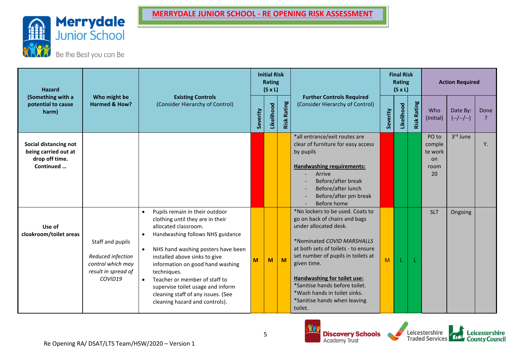

| <b>Hazard</b><br>(Something with a                              |                                                                                              |                                                                                                                                                                                                                                                                                                                                                                                                                                  |          | <b>Initial Risk</b><br><b>Rating</b><br>$(S \times L)$ |                |                                                                                                                                                                                                                                                                                                                                                                  |          | <b>Final Risk</b><br>Rating<br>$(S \times L)$ |                |                                         | <b>Action Required</b>  |      |
|-----------------------------------------------------------------|----------------------------------------------------------------------------------------------|----------------------------------------------------------------------------------------------------------------------------------------------------------------------------------------------------------------------------------------------------------------------------------------------------------------------------------------------------------------------------------------------------------------------------------|----------|--------------------------------------------------------|----------------|------------------------------------------------------------------------------------------------------------------------------------------------------------------------------------------------------------------------------------------------------------------------------------------------------------------------------------------------------------------|----------|-----------------------------------------------|----------------|-----------------------------------------|-------------------------|------|
| potential to cause<br>harm)                                     | Who might be<br>Harmed & How?                                                                | <b>Existing Controls</b><br>(Consider Hierarchy of Control)                                                                                                                                                                                                                                                                                                                                                                      | Severity | Likelihood                                             | Rating<br>Risk | <b>Further Controls Required</b><br>(Consider Hierarchy of Control)                                                                                                                                                                                                                                                                                              | Severity | Likelihood                                    | Rating<br>Risk | Who<br>(Initial)                        | Date By:<br>$(-/-/-/-)$ | Done |
| Social distancing not<br>being carried out at<br>drop off time. |                                                                                              |                                                                                                                                                                                                                                                                                                                                                                                                                                  |          |                                                        |                | *all entrance/exit routes are<br>clear of furniture for easy access<br>by pupils                                                                                                                                                                                                                                                                                 |          |                                               |                | PO to<br>comple<br>te work<br><b>on</b> | 3rd June                | Υ.   |
| Continued                                                       |                                                                                              |                                                                                                                                                                                                                                                                                                                                                                                                                                  |          |                                                        |                | <b>Handwashing requirements:</b><br>Arrive<br>Before/after break<br>Before/after lunch<br>Before/after pm break<br>Before home                                                                                                                                                                                                                                   |          |                                               |                | room<br>20                              |                         |      |
| Use of<br>cloakroom/toilet areas                                | Staff and pupils<br>Reduced infection<br>control which may<br>result in spread of<br>COVID19 | Pupils remain in their outdoor<br>$\bullet$<br>clothing until they are in their<br>allocated classroom.<br>Handwashing follows NHS guidance<br>$\bullet$<br>NHS hand washing posters have been<br>installed above sinks to give<br>information on good hand washing<br>techniques.<br>Teacher or member of staff to<br>supervise toilet usage and inform<br>cleaning staff of any issues. (See<br>cleaning hazard and controls). | M        | M                                                      | M              | *No lockers to be used. Coats to<br>go on back of chairs and bags<br>under allocated desk.<br>*Nominated COVID MARSHALLS<br>at both sets of toilets - to ensure<br>set number of pupils in toilets at<br>given time.<br>Handwashing for toilet use:<br>*Sanitise hands before toilet.<br>*Wash hands in toilet sinks.<br>*Sanitise hands when leaving<br>toilet. | M        |                                               |                | <b>SLT</b>                              | Ongoing                 |      |



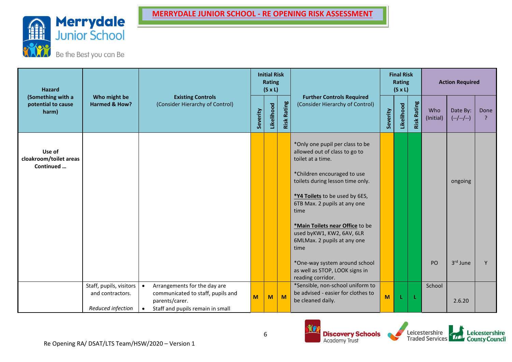

| <b>Hazard</b><br>(Something with a            |                                             |                                                                                |          | <b>Initial Risk</b><br><b>Rating</b><br>$(S \times L)$ |                |                                                                                                     |          | <b>Final Risk</b><br>Rating<br>$(S \times L)$ |                    |                  | <b>Action Required</b>  |           |
|-----------------------------------------------|---------------------------------------------|--------------------------------------------------------------------------------|----------|--------------------------------------------------------|----------------|-----------------------------------------------------------------------------------------------------|----------|-----------------------------------------------|--------------------|------------------|-------------------------|-----------|
| potential to cause<br>harm)                   | Who might be<br>Harmed & How?               | <b>Existing Controls</b><br>(Consider Hierarchy of Control)                    | Severity | Likelihood                                             | Rating<br>Risk | <b>Further Controls Required</b><br>(Consider Hierarchy of Control)                                 | Severity | Likelihood                                    | <b>Risk Rating</b> | Who<br>(Initial) | Date By:<br>$(-/-/-/-)$ | Done<br>? |
| Use of<br>cloakroom/toilet areas<br>Continued |                                             |                                                                                |          |                                                        |                | *Only one pupil per class to be<br>allowed out of class to go to<br>toilet at a time.               |          |                                               |                    |                  |                         |           |
|                                               |                                             |                                                                                |          |                                                        |                | *Children encouraged to use<br>toilets during lesson time only.                                     |          |                                               |                    |                  | ongoing                 |           |
|                                               |                                             |                                                                                |          |                                                        |                | *Y4 Toilets to be used by 6ES,<br>6TB Max. 2 pupils at any one<br>time                              |          |                                               |                    |                  |                         |           |
|                                               |                                             |                                                                                |          |                                                        |                | *Main Toilets near Office to be<br>used byKW1, KW2, 6AV, 6LR<br>6MLMax. 2 pupils at any one<br>time |          |                                               |                    |                  |                         |           |
|                                               |                                             |                                                                                |          |                                                        |                | *One-way system around school<br>as well as STOP, LOOK signs in<br>reading corridor.                |          |                                               |                    | PO               | 3rd June                |           |
|                                               | Staff, pupils, visitors<br>and contractors. | Arrangements for the day are<br>$\bullet$<br>communicated to staff, pupils and | $M$      | M                                                      | M              | *Sensible, non-school uniform to<br>be advised - easier for clothes to                              |          |                                               |                    | School           |                         |           |
|                                               | Reduced infection                           | parents/carer.<br>Staff and pupils remain in small<br>$\bullet$                |          |                                                        |                | be cleaned daily.                                                                                   | M        | J.                                            | Æ                  |                  | 2.6.20                  |           |



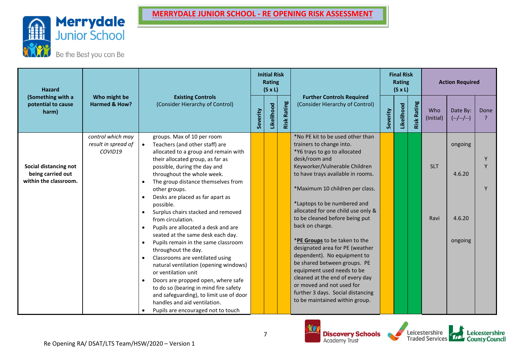

| <b>Hazard</b><br>(Something with a                                  |                                                     |                                                                            |                                                                                                                                                                                                                                                                                                                                                                                                                                                                                                                                                                                                                                                                                                                                                                                                                        |          | <b>Initial Risk</b><br>Rating<br>$(S \times L)$ |                |                                                                                                                                                                                                                                                                                                                                                                                                                                                                                                                                                                                                                                                          |          | <b>Final Risk</b><br>Rating<br>$(S \times L)$ |                |                    | <b>Action Required</b>                 |      |
|---------------------------------------------------------------------|-----------------------------------------------------|----------------------------------------------------------------------------|------------------------------------------------------------------------------------------------------------------------------------------------------------------------------------------------------------------------------------------------------------------------------------------------------------------------------------------------------------------------------------------------------------------------------------------------------------------------------------------------------------------------------------------------------------------------------------------------------------------------------------------------------------------------------------------------------------------------------------------------------------------------------------------------------------------------|----------|-------------------------------------------------|----------------|----------------------------------------------------------------------------------------------------------------------------------------------------------------------------------------------------------------------------------------------------------------------------------------------------------------------------------------------------------------------------------------------------------------------------------------------------------------------------------------------------------------------------------------------------------------------------------------------------------------------------------------------------------|----------|-----------------------------------------------|----------------|--------------------|----------------------------------------|------|
| potential to cause<br>harm)                                         | Who might be<br>Harmed & How?                       |                                                                            | <b>Existing Controls</b><br>(Consider Hierarchy of Control)                                                                                                                                                                                                                                                                                                                                                                                                                                                                                                                                                                                                                                                                                                                                                            | Severity | Likelihood                                      | Rating<br>Risk | <b>Further Controls Required</b><br>(Consider Hierarchy of Control)                                                                                                                                                                                                                                                                                                                                                                                                                                                                                                                                                                                      | Severity | Likelihood                                    | Rating<br>Risk | Who<br>(Initial)   | Date By:<br>$(--/-/-)$                 | Done |
| Social distancing not<br>being carried out<br>within the classroom. | control which may<br>result in spread of<br>COVID19 | $\bullet$<br>$\bullet$<br>$\bullet$<br>$\bullet$<br>$\bullet$<br>$\bullet$ | groups. Max of 10 per room<br>Teachers (and other staff) are<br>allocated to a group and remain with<br>their allocated group, as far as<br>possible, during the day and<br>throughout the whole week.<br>The group distance themselves from<br>other groups.<br>Desks are placed as far apart as<br>possible.<br>Surplus chairs stacked and removed<br>from circulation.<br>Pupils are allocated a desk and are<br>seated at the same desk each day.<br>Pupils remain in the same classroom<br>throughout the day.<br>Classrooms are ventilated using<br>natural ventilation (opening windows)<br>or ventilation unit<br>Doors are propped open, where safe<br>to do so (bearing in mind fire safety<br>and safeguarding), to limit use of door<br>handles and aid ventilation.<br>Pupils are encouraged not to touch |          |                                                 |                | *No PE kit to be used other than<br>trainers to change into.<br>*Y6 trays to go to allocated<br>desk/room and<br>Keyworker/Vulnerable Children<br>to have trays available in rooms.<br>*Maximum 10 children per class.<br>*Laptops to be numbered and<br>allocated for one child use only &<br>to be cleaned before being put<br>back on charge.<br>*PE Groups to be taken to the<br>designated area for PE (weather<br>dependent). No equipment to<br>be shared between groups. PE<br>equipment used needs to be<br>cleaned at the end of every day<br>or moved and not used for<br>further 3 days. Social distancing<br>to be maintained within group. |          |                                               |                | <b>SLT</b><br>Ravi | ongoing<br>4.6.20<br>4.6.20<br>ongoing |      |



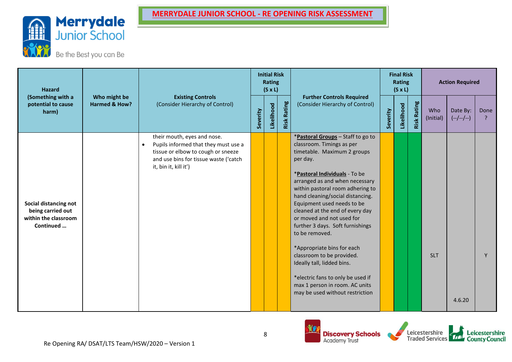

| <b>Hazard</b><br>(Something with a                                              |                               |                                                                                                                                                                                          |          | <b>Initial Risk</b><br>Rating<br>$(S \times L)$ |                |                                                                                                                                                                                                                                                                                                                                                                                                                                                                                                                                                                                                             |          | <b>Final Risk</b><br>Rating<br>$(S \times L)$ |                    |                  | <b>Action Required</b>  |      |
|---------------------------------------------------------------------------------|-------------------------------|------------------------------------------------------------------------------------------------------------------------------------------------------------------------------------------|----------|-------------------------------------------------|----------------|-------------------------------------------------------------------------------------------------------------------------------------------------------------------------------------------------------------------------------------------------------------------------------------------------------------------------------------------------------------------------------------------------------------------------------------------------------------------------------------------------------------------------------------------------------------------------------------------------------------|----------|-----------------------------------------------|--------------------|------------------|-------------------------|------|
| potential to cause<br>harm)                                                     | Who might be<br>Harmed & How? | <b>Existing Controls</b><br>(Consider Hierarchy of Control)                                                                                                                              | Severity | Likelihood                                      | Rating<br>Risk | <b>Further Controls Required</b><br>(Consider Hierarchy of Control)                                                                                                                                                                                                                                                                                                                                                                                                                                                                                                                                         | Severity | Likelihood                                    | <b>Risk Rating</b> | Who<br>(Initial) | Date By:<br>$(-/-/-/-)$ | Done |
| Social distancing not<br>being carried out<br>within the classroom<br>Continued |                               | their mouth, eyes and nose.<br>Pupils informed that they must use a<br>$\bullet$<br>tissue or elbow to cough or sneeze<br>and use bins for tissue waste ('catch<br>it, bin it, kill it') |          |                                                 |                | *Pastoral Groups - Staff to go to<br>classroom. Timings as per<br>timetable. Maximum 2 groups<br>per day.<br>*Pastoral Individuals - To be<br>arranged as and when necessary<br>within pastoral room adhering to<br>hand cleaning/social distancing.<br>Equipment used needs to be<br>cleaned at the end of every day<br>or moved and not used for<br>further 3 days. Soft furnishings<br>to be removed.<br>*Appropriate bins for each<br>classroom to be provided.<br>Ideally tall, lidded bins.<br>*electric fans to only be used if<br>max 1 person in room. AC units<br>may be used without restriction |          |                                               |                    | <b>SLT</b>       | 4.6.20                  | Y    |



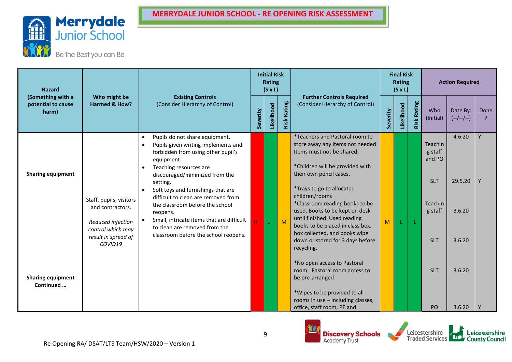



| <b>Hazard</b><br>(Something with a    |                                                                                                                         |                                                                                                                                                                                                                                                                                                                                                                                                                                                                  |          | <b>Initial Risk</b><br>Rating<br>$(S \times L)$ |                |                                                                                                                                                                                                                                                                                                                                                                                                                                               |          | <b>Final Risk</b><br>Rating<br>$(S \times L)$ |                    |                                                                                       | <b>Action Required</b>                |        |
|---------------------------------------|-------------------------------------------------------------------------------------------------------------------------|------------------------------------------------------------------------------------------------------------------------------------------------------------------------------------------------------------------------------------------------------------------------------------------------------------------------------------------------------------------------------------------------------------------------------------------------------------------|----------|-------------------------------------------------|----------------|-----------------------------------------------------------------------------------------------------------------------------------------------------------------------------------------------------------------------------------------------------------------------------------------------------------------------------------------------------------------------------------------------------------------------------------------------|----------|-----------------------------------------------|--------------------|---------------------------------------------------------------------------------------|---------------------------------------|--------|
| potential to cause<br>harm)           | Who might be<br>Harmed & How?                                                                                           | <b>Existing Controls</b><br>(Consider Hierarchy of Control)                                                                                                                                                                                                                                                                                                                                                                                                      | Severity | Likelihood                                      | Rating<br>Risk | <b>Further Controls Required</b><br>(Consider Hierarchy of Control)                                                                                                                                                                                                                                                                                                                                                                           | Severity | Likelihood                                    | <b>Risk Rating</b> | Who<br>(Initial)                                                                      | Date By:<br>$(-/-/-/-)$               | Done   |
| <b>Sharing equipment</b>              | Staff, pupils, visitors<br>and contractors.<br>Reduced infection<br>control which may<br>result in spread of<br>COVID19 | Pupils do not share equipment.<br>$\bullet$<br>Pupils given writing implements and<br>forbidden from using other pupil's<br>equipment.<br>Teaching resources are<br>discouraged/minimized from the<br>setting.<br>Soft toys and furnishings that are<br>difficult to clean are removed from<br>the classroom before the school<br>reopens.<br>Small, intricate items that are difficult<br>to clean are removed from the<br>classroom before the school reopens. |          |                                                 | M              | <i>*Teachers and Pastoral room to</i><br>store away any items not needed<br>Items must not be shared.<br>*Children will be provided with<br>their own pencil cases.<br>*Trays to go to allocated<br>children/rooms<br>*Classroom reading books to be<br>used. Books to be kept on desk<br>until finished. Used reading<br>books to be placed in class box,<br>box collected, and books wipe<br>down or stored for 3 days before<br>recycling. | M        |                                               | L                  | Teachin<br>g staff<br>and PO<br><b>SLT</b><br><b>Teachin</b><br>g staff<br><b>SLT</b> | 4.6.20<br>29.5.20<br>3.6.20<br>3.6.20 | Y<br>Y |
| <b>Sharing equipment</b><br>Continued |                                                                                                                         |                                                                                                                                                                                                                                                                                                                                                                                                                                                                  |          |                                                 |                | *No open access to Pastoral<br>room. Pastoral room access to<br>be pre-arranged.<br>*Wipes to be provided to all<br>rooms in use - including classes,<br>office, staff room, PE and                                                                                                                                                                                                                                                           |          |                                               |                    | <b>SLT</b><br>PO                                                                      | 3.6.20<br>3.6.20                      |        |



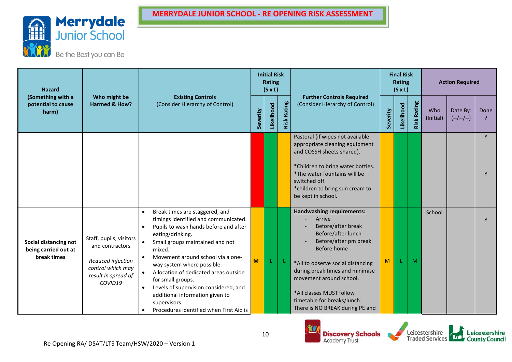

| <b>Hazard</b><br>(Something with a                           |                                                                                                                        |                                                                                                                                                                                                                                                                                                                                                                                                                                                                                                                           |          | <b>Initial Risk</b><br>Rating<br>$(S \times L)$ |                |                                                                                                                                                                                                                                                                                                                                 |          | <b>Final Risk</b><br>Rating<br>$(S \times L)$ |                |                  | <b>Action Required</b>  |          |
|--------------------------------------------------------------|------------------------------------------------------------------------------------------------------------------------|---------------------------------------------------------------------------------------------------------------------------------------------------------------------------------------------------------------------------------------------------------------------------------------------------------------------------------------------------------------------------------------------------------------------------------------------------------------------------------------------------------------------------|----------|-------------------------------------------------|----------------|---------------------------------------------------------------------------------------------------------------------------------------------------------------------------------------------------------------------------------------------------------------------------------------------------------------------------------|----------|-----------------------------------------------|----------------|------------------|-------------------------|----------|
| potential to cause<br>harm)                                  | Who might be<br>Harmed & How?                                                                                          | <b>Existing Controls</b><br>(Consider Hierarchy of Control)                                                                                                                                                                                                                                                                                                                                                                                                                                                               | Severity | Likelihood                                      | Rating<br>Risk | <b>Further Controls Required</b><br>(Consider Hierarchy of Control)                                                                                                                                                                                                                                                             | Severity | Likelihood                                    | Rating<br>Risk | Who<br>(Initial) | Date By:<br>$(-/-/-/-)$ | Done     |
|                                                              |                                                                                                                        |                                                                                                                                                                                                                                                                                                                                                                                                                                                                                                                           |          |                                                 |                | Pastoral (if wipes not available<br>appropriate cleaning equipment<br>and COSSH sheets shared).<br>*Children to bring water bottles.<br>*The water fountains will be<br>switched off.<br>*children to bring sun cream to<br>be kept in school.                                                                                  |          |                                               |                |                  |                         | <b>V</b> |
| Social distancing not<br>being carried out at<br>break times | Staff, pupils, visitors<br>and contractors<br>Reduced infection<br>control which may<br>result in spread of<br>COVID19 | Break times are staggered, and<br>$\bullet$<br>timings identified and communicated.<br>Pupils to wash hands before and after<br>$\bullet$<br>eating/drinking.<br>Small groups maintained and not<br>$\bullet$<br>mixed.<br>Movement around school via a one-<br>way system where possible.<br>Allocation of dedicated areas outside<br>$\bullet$<br>for small groups.<br>Levels of supervision considered, and<br>$\bullet$<br>additional information given to<br>supervisors.<br>Procedures identified when First Aid is | M        | L                                               | -L             | <b>Handwashing requirements:</b><br>Arrive<br>Before/after break<br>Before/after lunch<br>Before/after pm break<br>Before home<br>*All to observe social distancing<br>during break times and minimise<br>movement around school.<br>*All classes MUST follow<br>timetable for breaks/lunch.<br>There is NO BREAK during PE and | M        |                                               | M              | School           |                         |          |



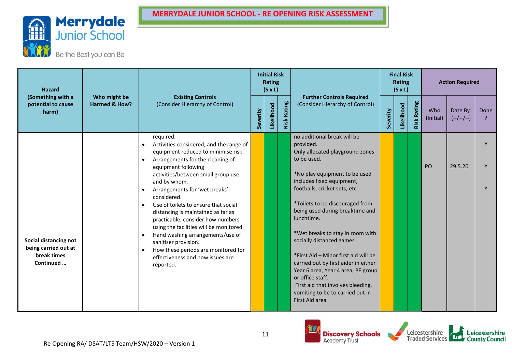



| <b>Hazard</b><br>(Something with a                                        |                               |                                                                                                                                                                                             |          | <b>Initial Risk</b><br><b>Rating</b><br>$(S \times L)$ |                    |                                                                                                                                                   |          | <b>Final Risk</b><br>Rating<br>$(S \times L)$ |                |                  | <b>Action Required</b>  |        |
|---------------------------------------------------------------------------|-------------------------------|---------------------------------------------------------------------------------------------------------------------------------------------------------------------------------------------|----------|--------------------------------------------------------|--------------------|---------------------------------------------------------------------------------------------------------------------------------------------------|----------|-----------------------------------------------|----------------|------------------|-------------------------|--------|
| potential to cause<br>harm)                                               | Who might be<br>Harmed & How? | <b>Existing Controls</b><br>(Consider Hierarchy of Control)                                                                                                                                 | Severity | Likelihood                                             | <b>Risk Rating</b> | <b>Further Controls Required</b><br>(Consider Hierarchy of Control)                                                                               | Severity | Likelihood                                    | Rating<br>Risk | Who<br>(Initial) | Date By:<br>$(-/-/-/-)$ | Done   |
|                                                                           |                               | required.<br>Activities considered, and the range of<br>equipment reduced to minimise risk.<br>Arrangements for the cleaning of                                                             |          |                                                        |                    | no additional break will be<br>provided.<br>Only allocated playground zones<br>to be used.                                                        |          |                                               |                |                  |                         | Y      |
|                                                                           |                               | equipment following<br>activities/between small group use<br>and by whom.<br>Arrangements for 'wet breaks'                                                                                  |          |                                                        |                    | *No play equipment to be used<br>includes fixed equipment,<br>footballs, cricket sets, etc.                                                       |          |                                               |                | PO               | 29.5.20                 | Y<br>Y |
|                                                                           |                               | considered.<br>Use of toilets to ensure that social<br>$\bullet$<br>distancing is maintained as far as<br>practicable, consider how numbers                                                 |          |                                                        |                    | *Toilets to be discouraged from<br>being used during breaktime and<br>lunchtime.                                                                  |          |                                               |                |                  |                         |        |
| Social distancing not<br>being carried out at<br>break times<br>Continued |                               | using the facilities will be monitored.<br>Hand washing arrangements/use of<br>sanitiser provision.<br>How these periods are monitored for<br>effectiveness and how issues are<br>reported. |          |                                                        |                    | *Wet breaks to stay in room with<br>socially distanced games.<br>*First Aid - Minor first aid will be<br>carried out by first aider in either     |          |                                               |                |                  |                         |        |
|                                                                           |                               |                                                                                                                                                                                             |          |                                                        |                    | Year 6 area, Year 4 area, PE group<br>or office staff.<br>First aid that involves bleeding,<br>vomiting to be to carried out in<br>First Aid area |          |                                               |                |                  |                         |        |



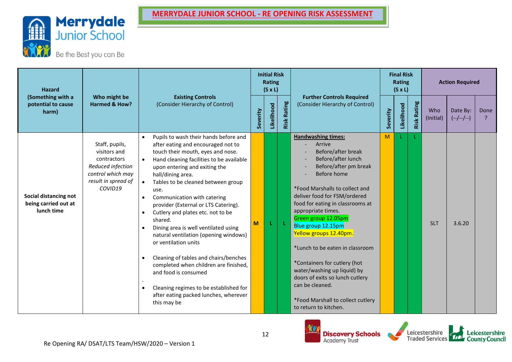

| <b>Hazard</b><br>(Something with a                          |                                                                                                                           |                                                                                                                                                                                                                                                                                                                                                                                                                                                                                                                                                                                                                                                                                                                                                                                                                      |          | <b>Initial Risk</b><br>Rating<br>$(S \times L)$ |                |                                                                                                                                                                                                                                                                                                                                                                                                                                                                                                                                                  |          | <b>Final Risk</b><br>Rating<br>$(S \times L)$ |                |                  | <b>Action Required</b>  |                       |
|-------------------------------------------------------------|---------------------------------------------------------------------------------------------------------------------------|----------------------------------------------------------------------------------------------------------------------------------------------------------------------------------------------------------------------------------------------------------------------------------------------------------------------------------------------------------------------------------------------------------------------------------------------------------------------------------------------------------------------------------------------------------------------------------------------------------------------------------------------------------------------------------------------------------------------------------------------------------------------------------------------------------------------|----------|-------------------------------------------------|----------------|--------------------------------------------------------------------------------------------------------------------------------------------------------------------------------------------------------------------------------------------------------------------------------------------------------------------------------------------------------------------------------------------------------------------------------------------------------------------------------------------------------------------------------------------------|----------|-----------------------------------------------|----------------|------------------|-------------------------|-----------------------|
| potential to cause<br>harm)                                 | Who might be<br><b>Harmed &amp; How?</b>                                                                                  | <b>Existing Controls</b><br>(Consider Hierarchy of Control)                                                                                                                                                                                                                                                                                                                                                                                                                                                                                                                                                                                                                                                                                                                                                          | Severity | Likelihood                                      | Rating<br>Risk | <b>Further Controls Required</b><br>(Consider Hierarchy of Control)                                                                                                                                                                                                                                                                                                                                                                                                                                                                              | Severity | Likelihood                                    | Rating<br>Risk | Who<br>(Initial) | Date By:<br>$(-/-/-/-)$ | Done<br>$\mathcal{P}$ |
| Social distancing not<br>being carried out at<br>lunch time | Staff, pupils,<br>visitors and<br>contractors<br>Reduced infection<br>control which may<br>result in spread of<br>COVID19 | Pupils to wash their hands before and<br>$\bullet$<br>after eating and encouraged not to<br>touch their mouth, eyes and nose.<br>Hand cleaning facilities to be available<br>$\bullet$<br>upon entering and exiting the<br>hall/dining area.<br>Tables to be cleaned between group<br>$\bullet$<br>use.<br>Communication with catering<br>$\bullet$<br>provider (External or LTS Catering).<br>Cutlery and plates etc. not to be<br>$\bullet$<br>shared.<br>Dining area is well ventilated using<br>$\bullet$<br>natural ventilation (opening windows)<br>or ventilation units<br>Cleaning of tables and chairs/benches<br>$\bullet$<br>completed when children are finished,<br>and food is consumed<br>Cleaning regimes to be established for<br>$\bullet$<br>after eating packed lunches, wherever<br>this may be | M        | L                                               | -L             | <b>Handwashing times:</b><br>Arrive<br>Before/after break<br>Before/after lunch<br>Before/after pm break<br>Before home<br>*Food Marshalls to collect and<br>deliver food for FSM/ordered<br>food for eating in classrooms at<br>appropriate times.<br>Green group 12.05pm<br>Blue group 12.15pm<br>Yellow groups 12.40pm.<br>*Lunch to be eaten in classroom<br>*Containers for cutlery (hot<br>water/washing up liquid) by<br>doors of exits so lunch cutlery<br>can be cleaned.<br>*Food Marshall to collect cutlery<br>to return to kitchen. | M        |                                               |                | <b>SLT</b>       | 3.6.20                  |                       |



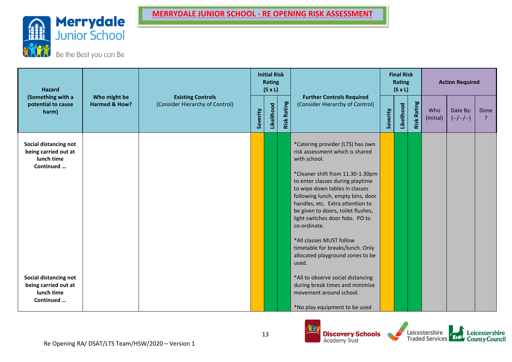

| <b>Hazard</b><br>(Something with a<br>potential to cause                 |                               |                                                             |          | <b>Initial Risk</b><br><b>Rating</b><br>$(S \times L)$ |                |                                                                                                                                                                                                                                                                          |          | <b>Final Risk</b><br>Rating<br>$(S \times L)$ |                    |                  | <b>Action Required</b>  |      |
|--------------------------------------------------------------------------|-------------------------------|-------------------------------------------------------------|----------|--------------------------------------------------------|----------------|--------------------------------------------------------------------------------------------------------------------------------------------------------------------------------------------------------------------------------------------------------------------------|----------|-----------------------------------------------|--------------------|------------------|-------------------------|------|
| harm)                                                                    | Who might be<br>Harmed & How? | <b>Existing Controls</b><br>(Consider Hierarchy of Control) | Severity | Likelihood                                             | Rating<br>Risk | <b>Further Controls Required</b><br>(Consider Hierarchy of Control)                                                                                                                                                                                                      | Severity | Likelihood                                    | <b>Risk Rating</b> | Who<br>(Initial) | Date By:<br>$(-/-/-/-)$ | Done |
| Social distancing not<br>being carried out at<br>lunch time<br>Continued |                               |                                                             |          |                                                        |                | *Catering provider (LTS) has own<br>risk assessment which is shared<br>with school.                                                                                                                                                                                      |          |                                               |                    |                  |                         |      |
|                                                                          |                               |                                                             |          |                                                        |                | *Cleaner shift from 11.30-1.30pm<br>to enter classes during playtime<br>to wipe down tables in classes<br>following lunch, empty bins, door<br>handles, etc. Extra attention to<br>be given to doors, toilet flushes,<br>light switches door fobs. PO to<br>co-ordinate. |          |                                               |                    |                  |                         |      |
|                                                                          |                               |                                                             |          |                                                        |                | *All classes MUST follow<br>timetable for breaks/lunch. Only<br>allocated playground zones to be<br>used.                                                                                                                                                                |          |                                               |                    |                  |                         |      |
| Social distancing not<br>being carried out at<br>lunch time<br>Continued |                               |                                                             |          |                                                        |                | *All to observe social distancing<br>during break times and minimise<br>movement around school.<br>*No play equipment to be used                                                                                                                                         |          |                                               |                    |                  |                         |      |

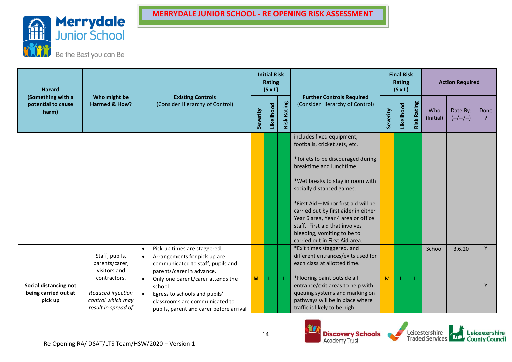

Be the Best you can Be

| <b>Hazard</b>                                    |                                          |                                                                           |          | <b>Initial Risk</b><br><b>Rating</b><br>$(S \times L)$ |                |                                                                              |          | <b>Final Risk</b><br>Rating<br>$(S \times L)$ |                    |                  | <b>Action Required</b>  |           |
|--------------------------------------------------|------------------------------------------|---------------------------------------------------------------------------|----------|--------------------------------------------------------|----------------|------------------------------------------------------------------------------|----------|-----------------------------------------------|--------------------|------------------|-------------------------|-----------|
| (Something with a<br>potential to cause<br>harm) | Who might be<br>Harmed & How?            | <b>Existing Controls</b><br>(Consider Hierarchy of Control)               | Severity | Likelihood                                             | Rating<br>Risk | <b>Further Controls Required</b><br>(Consider Hierarchy of Control)          | Severity | Likelihood                                    | <b>Risk Rating</b> | Who<br>(Initial) | Date By:<br>$(-/-/-/-)$ | Done<br>ρ |
|                                                  |                                          |                                                                           |          |                                                        |                | includes fixed equipment,<br>footballs, cricket sets, etc.                   |          |                                               |                    |                  |                         |           |
|                                                  |                                          |                                                                           |          |                                                        |                | *Toilets to be discouraged during<br>breaktime and lunchtime.                |          |                                               |                    |                  |                         |           |
|                                                  |                                          |                                                                           |          |                                                        |                | *Wet breaks to stay in room with<br>socially distanced games.                |          |                                               |                    |                  |                         |           |
|                                                  |                                          |                                                                           |          |                                                        |                | *First Aid - Minor first aid will be<br>carried out by first aider in either |          |                                               |                    |                  |                         |           |
|                                                  |                                          |                                                                           |          |                                                        |                | Year 6 area, Year 4 area or office<br>staff. First aid that involves         |          |                                               |                    |                  |                         |           |
|                                                  |                                          |                                                                           |          |                                                        |                | bleeding, vomiting to be to<br>carried out in First Aid area.                |          |                                               |                    |                  |                         |           |
|                                                  | Staff, pupils,                           | Pick up times are staggered.<br>$\bullet$<br>Arrangements for pick up are |          |                                                        |                | *Exit times staggered, and<br>different entrances/exits used for             |          |                                               |                    | School           | 3.6.20                  | Y         |
|                                                  | parents/carer,<br>visitors and           | communicated to staff, pupils and                                         |          |                                                        |                | each class at allotted time.                                                 |          |                                               |                    |                  |                         |           |
|                                                  | contractors.                             | parents/carer in advance.<br>Only one parent/carer attends the            | M        | L                                                      |                | *Flooring paint outside all                                                  | M        |                                               |                    |                  |                         |           |
| Social distancing not                            |                                          | school.                                                                   |          |                                                        |                | entrance/exit areas to help with                                             |          |                                               |                    |                  |                         | Y         |
| being carried out at                             | Reduced infection                        | Egress to schools and pupils'                                             |          |                                                        |                | queuing systems and marking on                                               |          |                                               |                    |                  |                         |           |
| pick up                                          | control which may<br>result in spread of | classrooms are communicated to<br>pupils, parent and carer before arrival |          |                                                        |                | pathways will be in place where<br>traffic is likely to be high.             |          |                                               |                    |                  |                         |           |



Leicestershire<br>Traded Services

Leicestershire<br>County Council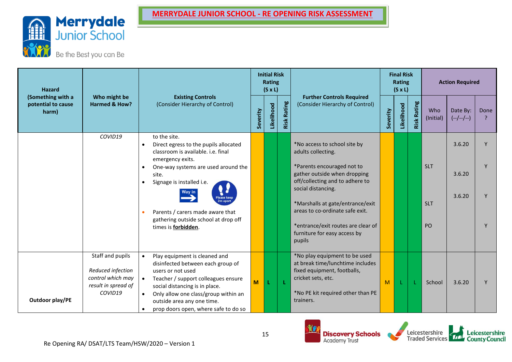



| <b>Hazard</b>                                    |                                                                                              |                                                                                                                                                                                                                       |          | <b>Initial Risk</b><br>Rating<br>$(S \times L)$ |                |                                                                                                                                                             |          | <b>Final Risk</b><br>Rating<br>$(S \times L)$ |                |                  | <b>Action Required</b>  |      |
|--------------------------------------------------|----------------------------------------------------------------------------------------------|-----------------------------------------------------------------------------------------------------------------------------------------------------------------------------------------------------------------------|----------|-------------------------------------------------|----------------|-------------------------------------------------------------------------------------------------------------------------------------------------------------|----------|-----------------------------------------------|----------------|------------------|-------------------------|------|
| (Something with a<br>potential to cause<br>harm) | Who might be<br>Harmed & How?                                                                | <b>Existing Controls</b><br>(Consider Hierarchy of Control)                                                                                                                                                           | Severity | Likelihood                                      | Rating<br>Risk | <b>Further Controls Required</b><br>(Consider Hierarchy of Control)                                                                                         | Severity | Likelihood                                    | Rating<br>Risk | Who<br>(Initial) | Date By:<br>$(-/-/-/-)$ | Done |
|                                                  | COVID19                                                                                      | to the site.<br>Direct egress to the pupils allocated<br>classroom is available. i.e. final<br>emergency exits.                                                                                                       |          |                                                 |                | *No access to school site by<br>adults collecting.                                                                                                          |          |                                               |                |                  | 3.6.20                  |      |
|                                                  |                                                                                              | One-way systems are used around the<br>$\bullet$<br>site.<br>Signage is installed i.e.<br>$\bullet$                                                                                                                   |          |                                                 |                | *Parents encouraged not to<br>gather outside when dropping<br>off/collecting and to adhere to                                                               |          |                                               |                | <b>SLT</b>       | 3.6.20                  |      |
|                                                  |                                                                                              | Wav in<br>Please keep<br>2m apart<br>Parents / carers made aware that                                                                                                                                                 |          |                                                 |                | social distancing.<br>*Marshalls at gate/entrance/exit<br>areas to co-ordinate safe exit.                                                                   |          |                                               |                | <b>SLT</b>       | 3.6.20                  |      |
|                                                  |                                                                                              | gathering outside school at drop off<br>times is <b>forbidden</b> .                                                                                                                                                   |          |                                                 |                | *entrance/exit routes are clear of<br>furniture for easy access by<br>pupils                                                                                |          |                                               |                | PO               |                         |      |
|                                                  | Staff and pupils<br>Reduced infection<br>control which may<br>result in spread of<br>COVID19 | Play equipment is cleaned and<br>disinfected between each group of<br>users or not used<br>Teacher / support colleagues ensure<br>social distancing is in place.<br>Only allow one class/group within an<br>$\bullet$ | M        |                                                 | L.             | *No play equipment to be used<br>at break time/lunchtime includes<br>fixed equipment, footballs,<br>cricket sets, etc.<br>*No PE kit required other than PE | M        |                                               |                | School           | 3.6.20                  |      |
| Outdoor play/PE                                  |                                                                                              | outside area any one time.<br>prop doors open, where safe to do so                                                                                                                                                    |          |                                                 |                | trainers.                                                                                                                                                   |          |                                               |                |                  |                         |      |



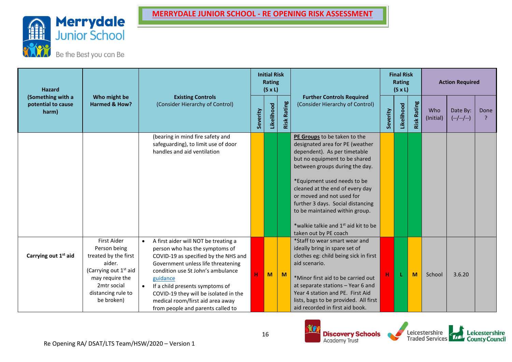

Be the Best you can Be

| <b>Hazard</b>                                    |                                                                                                                                                                                 |                                                                                                                                                                                                                                                                                                                                                                         |          | <b>Initial Risk</b><br>Rating<br>$(S \times L)$ |                |                                                                                                                                                                                                                                                                                                                                              |          | <b>Final Risk</b><br>Rating<br>$(S \times L)$ |                |                  | <b>Action Required</b>  |      |
|--------------------------------------------------|---------------------------------------------------------------------------------------------------------------------------------------------------------------------------------|-------------------------------------------------------------------------------------------------------------------------------------------------------------------------------------------------------------------------------------------------------------------------------------------------------------------------------------------------------------------------|----------|-------------------------------------------------|----------------|----------------------------------------------------------------------------------------------------------------------------------------------------------------------------------------------------------------------------------------------------------------------------------------------------------------------------------------------|----------|-----------------------------------------------|----------------|------------------|-------------------------|------|
| (Something with a<br>potential to cause<br>harm) | Who might be<br>Harmed & How?                                                                                                                                                   | <b>Existing Controls</b><br>(Consider Hierarchy of Control)                                                                                                                                                                                                                                                                                                             | Severity | Likelihood                                      | Rating<br>Risk | <b>Further Controls Required</b><br>(Consider Hierarchy of Control)                                                                                                                                                                                                                                                                          | Severity | Likelihood                                    | Rating<br>Risk | Who<br>(Initial) | Date By:<br>$(-/-/-/-)$ | Done |
|                                                  |                                                                                                                                                                                 | (bearing in mind fire safety and<br>safeguarding), to limit use of door<br>handles and aid ventilation                                                                                                                                                                                                                                                                  |          |                                                 |                | PE Groups to be taken to the<br>designated area for PE (weather<br>dependent). As per timetable<br>but no equipment to be shared<br>between groups during the day.                                                                                                                                                                           |          |                                               |                |                  |                         |      |
|                                                  |                                                                                                                                                                                 |                                                                                                                                                                                                                                                                                                                                                                         |          |                                                 |                | *Equipment used needs to be<br>cleaned at the end of every day<br>or moved and not used for<br>further 3 days. Social distancing<br>to be maintained within group.<br>*walkie talkie and 1 <sup>st</sup> aid kit to be                                                                                                                       |          |                                               |                |                  |                         |      |
| Carrying out 1 <sup>st</sup> aid                 | <b>First Aider</b><br>Person being<br>treated by the first<br>aider.<br>(Carrying out 1 <sup>st</sup> aid<br>may require the<br>2mtr social<br>distancing rule to<br>be broken) | A first aider will NOT be treating a<br>$\bullet$<br>person who has the symptoms of<br>COVID-19 as specified by the NHS and<br>Government unless life threatening<br>condition use St John's ambulance<br>guidance<br>If a child presents symptoms of<br>COVID-19 they will be isolated in the<br>medical room/first aid area away<br>from people and parents called to | Ĥ        | M                                               | $\mathbf{M}$   | taken out by PE coach<br>*Staff to wear smart wear and<br>ideally bring in spare set of<br>clothes eg: child being sick in first<br>aid scenario.<br>*Minor first aid to be carried out<br>at separate stations - Year 6 and<br>Year 4 station and PE. First Aid<br>lists, bags to be provided. All first<br>aid recorded in first aid book. | н        |                                               | M              | School           | 3.6.20                  |      |



**Discovery Schools**<br>Academy Trust

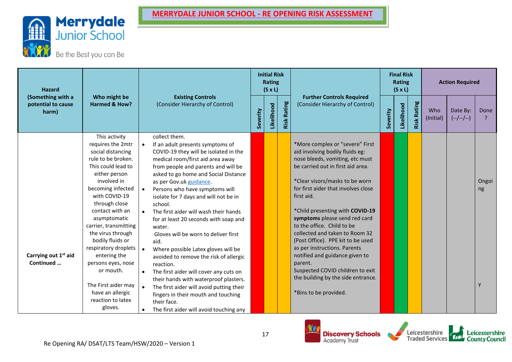

Be the Best you can Be

| <b>Hazard</b><br>(Something with a<br>potential to cause |                                                                                                                                                                                                                                                                                                                                                                                                                                                       |                                     |                                                                                                                                                                                                                                                                                                                                                                                                                                                                                                                                                                                                                                                                                                                                                                                                          |          | <b>Initial Risk</b><br>Rating<br>$(S \times L)$ |                |                                                                                                                                                                                                                                                                                                                                                                                                                                                                                                                                                                                            |          | <b>Final Risk</b><br>Rating<br>$(S \times L)$ |                  |                  | <b>Action Required</b>  |                  |
|----------------------------------------------------------|-------------------------------------------------------------------------------------------------------------------------------------------------------------------------------------------------------------------------------------------------------------------------------------------------------------------------------------------------------------------------------------------------------------------------------------------------------|-------------------------------------|----------------------------------------------------------------------------------------------------------------------------------------------------------------------------------------------------------------------------------------------------------------------------------------------------------------------------------------------------------------------------------------------------------------------------------------------------------------------------------------------------------------------------------------------------------------------------------------------------------------------------------------------------------------------------------------------------------------------------------------------------------------------------------------------------------|----------|-------------------------------------------------|----------------|--------------------------------------------------------------------------------------------------------------------------------------------------------------------------------------------------------------------------------------------------------------------------------------------------------------------------------------------------------------------------------------------------------------------------------------------------------------------------------------------------------------------------------------------------------------------------------------------|----------|-----------------------------------------------|------------------|------------------|-------------------------|------------------|
| harm)                                                    | Who might be<br><b>Harmed &amp; How?</b>                                                                                                                                                                                                                                                                                                                                                                                                              |                                     | <b>Existing Controls</b><br>(Consider Hierarchy of Control)                                                                                                                                                                                                                                                                                                                                                                                                                                                                                                                                                                                                                                                                                                                                              | Severity | Likelihood                                      | Rating<br>Risk | <b>Further Controls Required</b><br>(Consider Hierarchy of Control)                                                                                                                                                                                                                                                                                                                                                                                                                                                                                                                        | Severity | Likelihood                                    | Rating<br>Risk I | Who<br>(Initial) | Date By:<br>$(-/-/-/-)$ | Done             |
| Carrying out 1 <sup>st</sup> aid<br>Continued            | This activity<br>requires the 2mtr<br>social distancing<br>rule to be broken.<br>This could lead to<br>either person<br>involved in<br>becoming infected<br>with COVID-19<br>through close<br>contact with an<br>asymptomatic<br>carrier, transmitting<br>the virus through<br>bodily fluids or<br>respiratory droplets<br>entering the<br>persons eyes, nose<br>or mouth.<br>The First aider may<br>have an allergic<br>reaction to latex<br>gloves. | $\bullet$<br>$\bullet$<br>$\bullet$ | collect them.<br>If an adult presents symptoms of<br>COVID-19 they will be isolated in the<br>medical room/first aid area away<br>from people and parents and will be<br>asked to go home and Social Distance<br>as per Gov.uk guidance.<br>Persons who have symptoms will<br>isolate for 7 days and will not be in<br>school.<br>The first aider will wash their hands<br>for at least 20 seconds with soap and<br>water.<br>Gloves will be worn to deliver first<br>aid.<br>Where possible Latex gloves will be<br>avoided to remove the risk of allergic<br>reaction.<br>The first aider will cover any cuts on<br>their hands with waterproof plasters.<br>The first aider will avoid putting their<br>fingers in their mouth and touching<br>their face.<br>The first aider will avoid touching any |          |                                                 |                | *More complex or "severe" First<br>aid involving bodily fluids eg:<br>nose bleeds, vomiting, etc must<br>be carried out in first aid area.<br>*Clear visors/masks to be worn<br>for first aider that involves close<br>first aid.<br>*Child presenting with COVID-19<br>symptoms please send red card<br>to the office. Child to be<br>collected and taken to Room 32<br>(Post Office). PPE kit to be used<br>as per instructions. Parents<br>notified and guidance given to<br>parent.<br>Suspected COVID children to exit<br>the building by the side entrance.<br>*Bins to be provided. |          |                                               |                  |                  |                         | Ongoi<br>ng<br>Y |





Leicestershire<br>County Council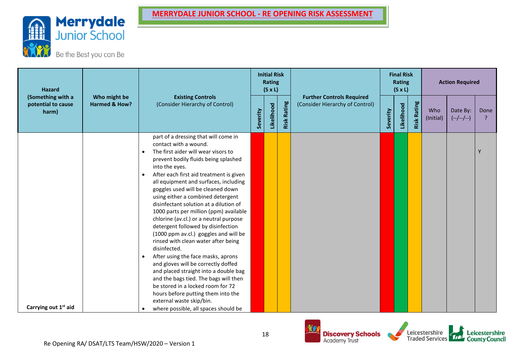

| <b>Hazard</b>                    | (Something with a<br>Who might be<br>Harmed & How?<br>potential to cause |                                                                                                                                                                                                                                                                                                                                                                                                                                                                                                                                                                                                                                                                                                                                                                                                                                                                                                                                                       |          | <b>Initial Risk</b><br><b>Rating</b><br>$(S \times L)$ |                |                                                                     |          | <b>Final Risk</b><br>Rating<br>$(S \times L)$ |                |                  | <b>Action Required</b>  |      |
|----------------------------------|--------------------------------------------------------------------------|-------------------------------------------------------------------------------------------------------------------------------------------------------------------------------------------------------------------------------------------------------------------------------------------------------------------------------------------------------------------------------------------------------------------------------------------------------------------------------------------------------------------------------------------------------------------------------------------------------------------------------------------------------------------------------------------------------------------------------------------------------------------------------------------------------------------------------------------------------------------------------------------------------------------------------------------------------|----------|--------------------------------------------------------|----------------|---------------------------------------------------------------------|----------|-----------------------------------------------|----------------|------------------|-------------------------|------|
| harm)                            |                                                                          | <b>Existing Controls</b><br>(Consider Hierarchy of Control)                                                                                                                                                                                                                                                                                                                                                                                                                                                                                                                                                                                                                                                                                                                                                                                                                                                                                           | Severity | Likelihood                                             | Rating<br>Risk | <b>Further Controls Required</b><br>(Consider Hierarchy of Control) | Severity | Likelihood                                    | Rating<br>Risk | Who<br>(Initial) | Date By:<br>$(-/-/-/-)$ | Done |
| Carrying out 1 <sup>st</sup> aid |                                                                          | part of a dressing that will come in<br>contact with a wound.<br>The first aider will wear visors to<br>$\bullet$<br>prevent bodily fluids being splashed<br>into the eyes.<br>After each first aid treatment is given<br>$\bullet$<br>all equipment and surfaces, including<br>goggles used will be cleaned down<br>using either a combined detergent<br>disinfectant solution at a dilution of<br>1000 parts per million (ppm) available<br>chlorine (av.cl.) or a neutral purpose<br>detergent followed by disinfection<br>(1000 ppm av.cl.) goggles and will be<br>rinsed with clean water after being<br>disinfected.<br>After using the face masks, aprons<br>$\bullet$<br>and gloves will be correctly doffed<br>and placed straight into a double bag<br>and the bags tied. The bags will then<br>be stored in a locked room for 72<br>hours before putting them into the<br>external waste skip/bin.<br>where possible, all spaces should be |          |                                                        |                |                                                                     |          |                                               |                |                  |                         | Y    |



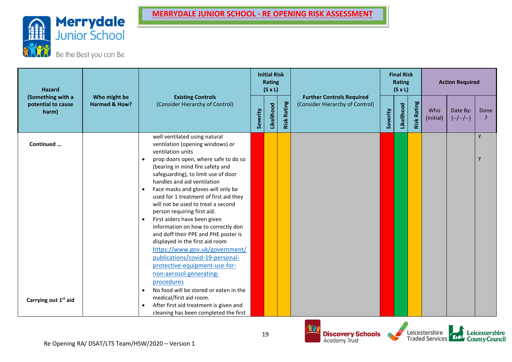

Be the Best you can Be

| <b>Hazard</b>                                    |                               |                                                                                                                                                                                                                                                                                                                                                                                                                                                                                                                                                                                                                                                                                                |          | <b>Initial Risk</b><br><b>Rating</b><br>$(S \times L)$ |                    |                                                                     |          | <b>Final Risk</b><br><b>Rating</b><br>$(S \times L)$ |                    |                  | <b>Action Required</b>  |                        |
|--------------------------------------------------|-------------------------------|------------------------------------------------------------------------------------------------------------------------------------------------------------------------------------------------------------------------------------------------------------------------------------------------------------------------------------------------------------------------------------------------------------------------------------------------------------------------------------------------------------------------------------------------------------------------------------------------------------------------------------------------------------------------------------------------|----------|--------------------------------------------------------|--------------------|---------------------------------------------------------------------|----------|------------------------------------------------------|--------------------|------------------|-------------------------|------------------------|
| (Something with a<br>potential to cause<br>harm) | Who might be<br>Harmed & How? | <b>Existing Controls</b><br>(Consider Hierarchy of Control)                                                                                                                                                                                                                                                                                                                                                                                                                                                                                                                                                                                                                                    | Severity | Likelihood                                             | <b>Risk Rating</b> | <b>Further Controls Required</b><br>(Consider Hierarchy of Control) | Severity | Likelihood                                           | <b>Risk Rating</b> | Who<br>(Initial) | Date By:<br>$(-/-/-/-)$ | Done<br>$\overline{P}$ |
| Continued                                        |                               | well ventilated using natural<br>ventilation (opening windows) or<br>ventilation units<br>prop doors open, where safe to do so<br>(bearing in mind fire safety and<br>safeguarding), to limit use of door<br>handles and aid ventilation<br>Face masks and gloves will only be<br>used for 1 treatment of first aid they<br>will not be used to treat a second<br>person requiring first aid.<br>First aiders have been given<br>information on how to correctly don<br>and doff their PPE and PHE poster is<br>displayed in the first aid room<br>https://www.gov.uk/government/<br>publications/covid-19-personal-<br>protective-equipment-use-for-<br>non-aerosol-generating-<br>procedures |          |                                                        |                    |                                                                     |          |                                                      |                    |                  |                         | Y<br>Y                 |
| Carrying out 1 <sup>st</sup> aid                 |                               | No food will be stored or eaten in the<br>$\bullet$<br>medical/first aid room.<br>After first aid treatment is given and<br>$\bullet$<br>cleaning has been completed the first                                                                                                                                                                                                                                                                                                                                                                                                                                                                                                                 |          |                                                        |                    |                                                                     |          |                                                      |                    |                  |                         |                        |



Leicestershire<br>Traded Services

Leicestershire<br>County Council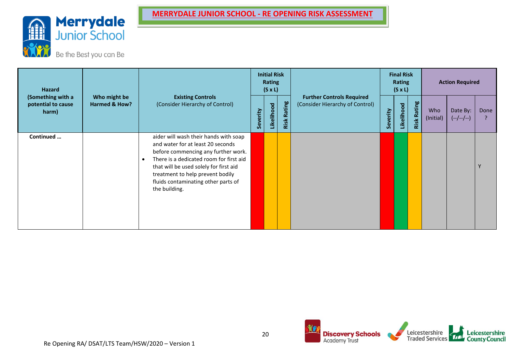

| Hazard<br>(Something with a<br>potential to cause<br>harm) |                               |                                                                                                                                                                                                                                                                                                                 |          | <b>Initial Risk</b><br>Rating<br>$(S \times L)$ |                |                                                                     |          | <b>Final Risk</b><br><b>Rating</b><br>$(S \times L)$ |                |                  | <b>Action Required</b>  |      |
|------------------------------------------------------------|-------------------------------|-----------------------------------------------------------------------------------------------------------------------------------------------------------------------------------------------------------------------------------------------------------------------------------------------------------------|----------|-------------------------------------------------|----------------|---------------------------------------------------------------------|----------|------------------------------------------------------|----------------|------------------|-------------------------|------|
|                                                            | Who might be<br>Harmed & How? | <b>Existing Controls</b><br>(Consider Hierarchy of Control)                                                                                                                                                                                                                                                     | Severity | Likelihood                                      | Rating<br>Risk | <b>Further Controls Required</b><br>(Consider Hierarchy of Control) | Severity | Likelihood                                           | Rating<br>Risk | Who<br>(Initial) | Date By:<br>$(-/-/-/-)$ | Done |
| Continued                                                  |                               | aider will wash their hands with soap<br>and water for at least 20 seconds<br>before commencing any further work.<br>There is a dedicated room for first aid<br>$\bullet$<br>that will be used solely for first aid<br>treatment to help prevent bodily<br>fluids contaminating other parts of<br>the building. |          |                                                 |                |                                                                     |          |                                                      |                |                  |                         | Υ    |



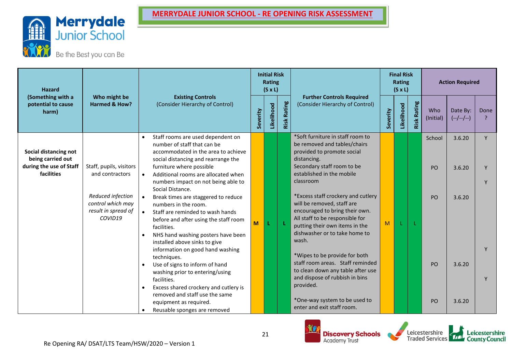

| <b>Hazard</b>                                                                       |                                                                                                                        |                                                               |                                                                                                                                                                                                                                                                                                                                                                                                                                                                                                                                                                                                                                                                                                                                                            |          | <b>Initial Risk</b><br><b>Rating</b><br>$(S \times L)$ |                |                                                                                                                                                                                                                                                                                                                                                                                                                                                                                                                                                                                                      |          | <b>Final Risk</b><br><b>Rating</b><br>$(S \times L)$ |                    |                                       | <b>Action Required</b>                         |                        |
|-------------------------------------------------------------------------------------|------------------------------------------------------------------------------------------------------------------------|---------------------------------------------------------------|------------------------------------------------------------------------------------------------------------------------------------------------------------------------------------------------------------------------------------------------------------------------------------------------------------------------------------------------------------------------------------------------------------------------------------------------------------------------------------------------------------------------------------------------------------------------------------------------------------------------------------------------------------------------------------------------------------------------------------------------------------|----------|--------------------------------------------------------|----------------|------------------------------------------------------------------------------------------------------------------------------------------------------------------------------------------------------------------------------------------------------------------------------------------------------------------------------------------------------------------------------------------------------------------------------------------------------------------------------------------------------------------------------------------------------------------------------------------------------|----------|------------------------------------------------------|--------------------|---------------------------------------|------------------------------------------------|------------------------|
| (Something with a<br>potential to cause<br>harm)                                    | Who might be<br><b>Harmed &amp; How?</b>                                                                               |                                                               | <b>Existing Controls</b><br>(Consider Hierarchy of Control)                                                                                                                                                                                                                                                                                                                                                                                                                                                                                                                                                                                                                                                                                                | Severity | Likelihood                                             | Rating<br>Risk | <b>Further Controls Required</b><br>(Consider Hierarchy of Control)                                                                                                                                                                                                                                                                                                                                                                                                                                                                                                                                  | Severity | Likelihood                                           | <b>Risk Rating</b> | Who<br>(Initial)                      | Date By:<br>$(-/-/-/-)$                        | Done<br>$\overline{?}$ |
| Social distancing not<br>being carried out<br>during the use of Staff<br>facilities | Staff, pupils, visitors<br>and contractors<br>Reduced infection<br>control which may<br>result in spread of<br>COVID19 | $\bullet$<br>$\bullet$<br>$\bullet$<br>$\bullet$<br>$\bullet$ | Staff rooms are used dependent on<br>number of staff that can be<br>accommodated in the area to achieve<br>social distancing and rearrange the<br>furniture where possible<br>Additional rooms are allocated when<br>numbers impact on not being able to<br>Social Distance.<br>Break times are staggered to reduce<br>numbers in the room.<br>Staff are reminded to wash hands<br>before and after using the staff room<br>facilities.<br>NHS hand washing posters have been<br>installed above sinks to give<br>information on good hand washing<br>techniques.<br>Use of signs to inform of hand<br>washing prior to entering/using<br>facilities.<br>Excess shared crockery and cutlery is<br>removed and staff use the same<br>equipment as required. | M        | L                                                      | -L             | *Soft furniture in staff room to<br>be removed and tables/chairs<br>provided to promote social<br>distancing.<br>Secondary staff room to be<br>established in the mobile<br>classroom<br>*Excess staff crockery and cutlery<br>will be removed, staff are<br>encouraged to bring their own.<br>All staff to be responsible for<br>putting their own items in the<br>dishwasher or to take home to<br>wash.<br>*Wipes to be provide for both<br>staff room areas. Staff reminded<br>to clean down any table after use<br>and dispose of rubbish in bins<br>provided.<br>*One-way system to be used to | M        |                                                      |                    | School<br>PO<br>PO<br>PO<br><b>PO</b> | 3.6.20<br>3.6.20<br>3.6.20<br>3.6.20<br>3.6.20 | Y                      |
|                                                                                     |                                                                                                                        |                                                               | Reusable sponges are removed                                                                                                                                                                                                                                                                                                                                                                                                                                                                                                                                                                                                                                                                                                                               |          |                                                        |                | enter and exit staff room.                                                                                                                                                                                                                                                                                                                                                                                                                                                                                                                                                                           |          |                                                      |                    |                                       |                                                |                        |



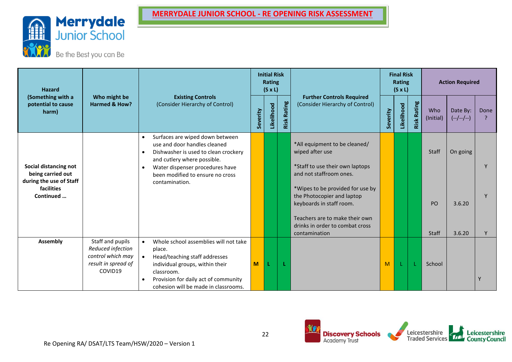

| <b>Hazard</b>                                                         |                                                                                   |                                                                                                                                                                  |          | <b>Initial Risk</b><br><b>Rating</b><br>$(S \times L)$ |                |                                                                                            |          | <b>Final Risk</b><br><b>Rating</b><br>$(S \times L)$ |                    |                  | <b>Action Required</b>  |           |
|-----------------------------------------------------------------------|-----------------------------------------------------------------------------------|------------------------------------------------------------------------------------------------------------------------------------------------------------------|----------|--------------------------------------------------------|----------------|--------------------------------------------------------------------------------------------|----------|------------------------------------------------------|--------------------|------------------|-------------------------|-----------|
| (Something with a<br>potential to cause<br>harm)                      | Who might be<br><b>Harmed &amp; How?</b>                                          | <b>Existing Controls</b><br>(Consider Hierarchy of Control)                                                                                                      | Severity | Likelihood                                             | Rating<br>Risk | <b>Further Controls Required</b><br>(Consider Hierarchy of Control)                        | Severity | Likelihood                                           | <b>Risk Rating</b> | Who<br>(Initial) | Date By:<br>$(-/-/-/-)$ | Done<br>? |
|                                                                       |                                                                                   | Surfaces are wiped down between<br>$\bullet$<br>use and door handles cleaned<br>Dishwasher is used to clean crockery<br>$\bullet$<br>and cutlery where possible. |          |                                                        |                | *All equipment to be cleaned/<br>wiped after use                                           |          |                                                      |                    | Staff            | On going                |           |
| Social distancing not<br>being carried out<br>during the use of Staff |                                                                                   | Water dispenser procedures have<br>$\bullet$<br>been modified to ensure no cross<br>contamination.                                                               |          |                                                        |                | *Staff to use their own laptops<br>and not staffroom ones.                                 |          |                                                      |                    |                  |                         |           |
| facilities<br>Continued                                               |                                                                                   |                                                                                                                                                                  |          |                                                        |                | *Wipes to be provided for use by<br>the Photocopier and laptop<br>keyboards in staff room. |          |                                                      |                    | PO               | 3.6.20                  |           |
|                                                                       |                                                                                   |                                                                                                                                                                  |          |                                                        |                | Teachers are to make their own<br>drinks in order to combat cross<br>contamination         |          |                                                      |                    | Staff            | 3.6.20                  |           |
| <b>Assembly</b>                                                       | Staff and pupils<br>Reduced infection<br>control which may<br>result in spread of | Whole school assemblies will not take<br>place.<br>Head/teaching staff addresses<br>individual groups, within their                                              | M        | L                                                      |                |                                                                                            | M        |                                                      |                    | School           |                         |           |
|                                                                       | COVID19                                                                           | classroom.<br>Provision for daily act of community<br>$\bullet$<br>cohesion will be made in classrooms.                                                          |          |                                                        |                |                                                                                            |          |                                                      |                    |                  |                         | Y         |



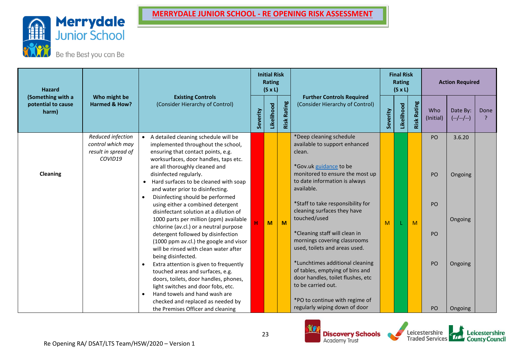

| <b>Hazard</b><br>(Something with a<br>potential to cause<br>harm) |                                                                          |                                                                                                                                                                                                                                                                                                                                                                                                                                                                                                                                                                                                                                                                                                                                                                                                                                                                                                                                                                                      |          | <b>Initial Risk</b><br><b>Rating</b><br>$(S \times L)$ |                    |                                                                                                                                                                                                                                                                                                                                                                                                                                                                                                                                                                          |          | <b>Final Risk</b><br><b>Rating</b><br>$(S \times L)$ |                |                                  | <b>Action Required</b>                             |      |
|-------------------------------------------------------------------|--------------------------------------------------------------------------|--------------------------------------------------------------------------------------------------------------------------------------------------------------------------------------------------------------------------------------------------------------------------------------------------------------------------------------------------------------------------------------------------------------------------------------------------------------------------------------------------------------------------------------------------------------------------------------------------------------------------------------------------------------------------------------------------------------------------------------------------------------------------------------------------------------------------------------------------------------------------------------------------------------------------------------------------------------------------------------|----------|--------------------------------------------------------|--------------------|--------------------------------------------------------------------------------------------------------------------------------------------------------------------------------------------------------------------------------------------------------------------------------------------------------------------------------------------------------------------------------------------------------------------------------------------------------------------------------------------------------------------------------------------------------------------------|----------|------------------------------------------------------|----------------|----------------------------------|----------------------------------------------------|------|
|                                                                   | Who might be<br>Harmed & How?                                            | <b>Existing Controls</b><br>(Consider Hierarchy of Control)                                                                                                                                                                                                                                                                                                                                                                                                                                                                                                                                                                                                                                                                                                                                                                                                                                                                                                                          | Severity | Likelihood                                             | <b>Risk Rating</b> | <b>Further Controls Required</b><br>(Consider Hierarchy of Control)                                                                                                                                                                                                                                                                                                                                                                                                                                                                                                      | Severity | Likelihood                                           | Rating<br>Risk | Who<br>(Initial)                 | Date By:<br>$(-/-/-/-)$                            | Done |
| Cleaning                                                          | Reduced infection<br>control which may<br>result in spread of<br>COVID19 | A detailed cleaning schedule will be<br>implemented throughout the school,<br>ensuring that contact points, e.g.<br>worksurfaces, door handles, taps etc.<br>are all thoroughly cleaned and<br>disinfected regularly.<br>Hard surfaces to be cleaned with soap<br>$\bullet$<br>and water prior to disinfecting.<br>Disinfecting should be performed<br>$\bullet$<br>using either a combined detergent<br>disinfectant solution at a dilution of<br>1000 parts per million (ppm) available<br>chlorine (av.cl.) or a neutral purpose<br>detergent followed by disinfection<br>(1000 ppm av.cl.) the google and visor<br>will be rinsed with clean water after<br>being disinfected.<br>Extra attention is given to frequently<br>$\bullet$<br>touched areas and surfaces, e.g.<br>doors, toilets, door handles, phones,<br>light switches and door fobs, etc.<br>Hand towels and hand wash are<br>$\bullet$<br>checked and replaced as needed by<br>the Premises Officer and cleaning |          | M                                                      | M                  | *Deep cleaning schedule<br>available to support enhanced<br>clean.<br>*Gov.uk guidance to be<br>monitored to ensure the most up<br>to date information is always<br>available.<br>*Staff to take responsibility for<br>cleaning surfaces they have<br>touched/used<br>*Cleaning staff will clean in<br>mornings covering classrooms<br>used, toilets and areas used.<br>*Lunchtimes additional cleaning<br>of tables, emptying of bins and<br>door handles, toilet flushes, etc<br>to be carried out.<br>*PO to continue with regime of<br>regularly wiping down of door | M        |                                                      | M              | PO<br>PO<br>PO<br>PO<br>PO<br>PO | 3.6.20<br>Ongoing<br>Ongoing<br>Ongoing<br>Ongoing |      |



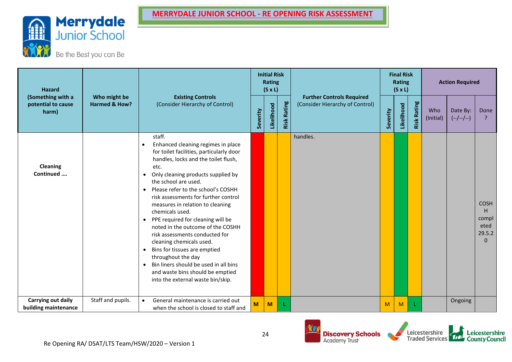



| <b>Hazard</b>                              | (Something with a<br>Who might be<br>potential to cause<br><b>Harmed &amp; How?</b> |                                                                                                                                                                                                                                                                                                                                                                                                                                                                                                                                                                                                                                                                                                                              |          | <b>Initial Risk</b><br>Rating<br>$(S \times L)$ |                |                                                                     |          | <b>Final Risk</b><br>Rating<br>$(S \times L)$ |                    |                  | <b>Action Required</b>  |                                                          |
|--------------------------------------------|-------------------------------------------------------------------------------------|------------------------------------------------------------------------------------------------------------------------------------------------------------------------------------------------------------------------------------------------------------------------------------------------------------------------------------------------------------------------------------------------------------------------------------------------------------------------------------------------------------------------------------------------------------------------------------------------------------------------------------------------------------------------------------------------------------------------------|----------|-------------------------------------------------|----------------|---------------------------------------------------------------------|----------|-----------------------------------------------|--------------------|------------------|-------------------------|----------------------------------------------------------|
| harm)                                      |                                                                                     | <b>Existing Controls</b><br>(Consider Hierarchy of Control)                                                                                                                                                                                                                                                                                                                                                                                                                                                                                                                                                                                                                                                                  | Severity | Likelihood                                      | Rating<br>Risk | <b>Further Controls Required</b><br>(Consider Hierarchy of Control) | Severity | Likelihood                                    | <b>Risk Rating</b> | Who<br>(Initial) | Date By:<br>$(-/-/-/-)$ | Done<br>$\overline{?}$                                   |
| <b>Cleaning</b><br>Continued               |                                                                                     | staff.<br>Enhanced cleaning regimes in place<br>for toilet facilities, particularly door<br>handles, locks and the toilet flush,<br>etc.<br>Only cleaning products supplied by<br>$\bullet$<br>the school are used.<br>Please refer to the school's COSHH<br>$\bullet$<br>risk assessments for further control<br>measures in relation to cleaning<br>chemicals used.<br>PPE required for cleaning will be<br>$\bullet$<br>noted in the outcome of the COSHH<br>risk assessments conducted for<br>cleaning chemicals used.<br>Bins for tissues are emptied<br>$\bullet$<br>throughout the day<br>Bin liners should be used in all bins<br>$\bullet$<br>and waste bins should be emptied<br>into the external waste bin/skip. |          |                                                 |                | handles.                                                            |          |                                               |                    |                  |                         | <b>COSH</b><br>H.<br>compl<br>eted<br>29.5.2<br>$\Omega$ |
| Carrying out daily<br>building maintenance | Staff and pupils.                                                                   | General maintenance is carried out<br>$\bullet$<br>when the school is closed to staff and                                                                                                                                                                                                                                                                                                                                                                                                                                                                                                                                                                                                                                    | M        | M                                               | L              |                                                                     | M        | M                                             | L                  |                  | Ongoing                 |                                                          |



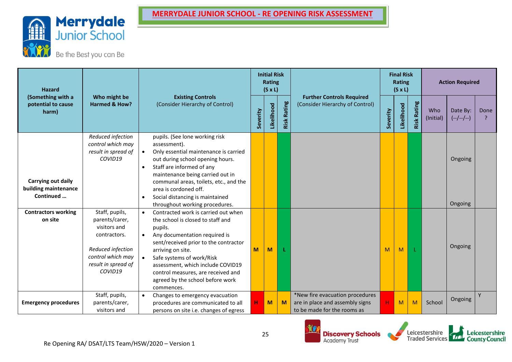



| lazard                               |                                                                          |                                                                                                                                                                                                                        |          | <b>Initial Risk</b><br>Rating<br>$(S \times L)$ |                  |    |  |  |
|--------------------------------------|--------------------------------------------------------------------------|------------------------------------------------------------------------------------------------------------------------------------------------------------------------------------------------------------------------|----------|-------------------------------------------------|------------------|----|--|--|
| hing with a<br>ial to cause<br>narm) | Who might be<br>Harmed & How?                                            | <b>Existing Controls</b><br>(Consider Hierarchy of Control)                                                                                                                                                            | Severity | Likelihood                                      | Rating<br>Risk l | (C |  |  |
|                                      | Reduced infection<br>control which may<br>result in spread of<br>COVID19 | pupils. (See lone working risk<br>assessment).<br>Only essential maintenance is carried<br>$\bullet$<br>out during school opening hours.<br>Staff are informed of any<br>$\bullet$<br>maintenance being carried out in |          |                                                 |                  |    |  |  |

| <b>Hazard</b>                                           | Who might be<br><b>Existing Controls</b><br>(Consider Hierarchy of Control)<br><b>Harmed &amp; How?</b>                                      |                                                                                                                                                                                                                                                                                                                                                           | <b>Rating</b><br>$(S \times L)$ |            |                    |                                                                                                   | <b>Rating</b><br>$(S \times L)$ |            | <b>Action Required</b> |                  |                         |      |
|---------------------------------------------------------|----------------------------------------------------------------------------------------------------------------------------------------------|-----------------------------------------------------------------------------------------------------------------------------------------------------------------------------------------------------------------------------------------------------------------------------------------------------------------------------------------------------------|---------------------------------|------------|--------------------|---------------------------------------------------------------------------------------------------|---------------------------------|------------|------------------------|------------------|-------------------------|------|
| (Something with a<br>potential to cause<br>harm)        |                                                                                                                                              |                                                                                                                                                                                                                                                                                                                                                           | Severity                        | Likelihood | <b>Risk Rating</b> | <b>Further Controls Required</b><br>(Consider Hierarchy of Control)                               | Severity                        | Likelihood | Rating<br>Risk         | Who<br>(Initial) | Date By:<br>$(-/-/-/-)$ | Done |
| Carrying out daily<br>building maintenance<br>Continued | Reduced infection<br>control which may<br>result in spread of<br>COVID19                                                                     | pupils. (See lone working risk<br>assessment).<br>Only essential maintenance is carried<br>out during school opening hours.<br>Staff are informed of any<br>maintenance being carried out in<br>communal areas, toilets, etc., and the<br>area is cordoned off.<br>Social distancing is maintained<br>throughout working procedures.                      |                                 |            |                    |                                                                                                   |                                 |            |                        |                  | Ongoing<br>Ongoing      |      |
| <b>Contractors working</b><br>on site                   | Staff, pupils,<br>parents/carer,<br>visitors and<br>contractors.<br>Reduced infection<br>control which may<br>result in spread of<br>COVID19 | Contracted work is carried out when<br>$\bullet$<br>the school is closed to staff and<br>pupils.<br>Any documentation required is<br>sent/received prior to the contractor<br>arriving on site.<br>Safe systems of work/Risk<br>assessment, which include COVID19<br>control measures, are received and<br>agreed by the school before work<br>commences. | M                               | M          |                    |                                                                                                   | M                               | M          |                        |                  | Ongoing                 |      |
| <b>Emergency procedures</b>                             | Staff, pupils,<br>parents/carer,<br>visitors and                                                                                             | Changes to emergency evacuation<br>procedures are communicated to all<br>persons on site i.e. changes of egress                                                                                                                                                                                                                                           | н                               | M          | M                  | *New fire evacuation procedures<br>are in place and assembly signs<br>to be made for the rooms as | H                               | M          | M                      | School           | Ongoing                 | Y    |





**Final Risk**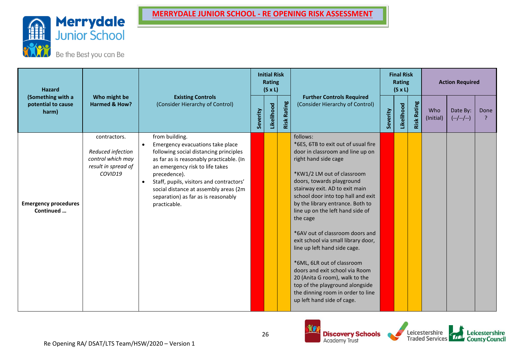

| <b>Hazard</b>                                                                     |                                                                                          |                                                                                                                                                                                                                                                                                                                                                      | <b>Initial Risk</b><br><b>Rating</b><br>$(S \times L)$ |                                                                     |  |                                                                                                                                                                                                                                                                                                                                                                                                                                                                                                                                                                                                                                                      | <b>Final Risk</b><br>Rating<br>$(S \times L)$ |                  | <b>Action Required</b>  |      |  |  |
|-----------------------------------------------------------------------------------|------------------------------------------------------------------------------------------|------------------------------------------------------------------------------------------------------------------------------------------------------------------------------------------------------------------------------------------------------------------------------------------------------------------------------------------------------|--------------------------------------------------------|---------------------------------------------------------------------|--|------------------------------------------------------------------------------------------------------------------------------------------------------------------------------------------------------------------------------------------------------------------------------------------------------------------------------------------------------------------------------------------------------------------------------------------------------------------------------------------------------------------------------------------------------------------------------------------------------------------------------------------------------|-----------------------------------------------|------------------|-------------------------|------|--|--|
| (Something with a<br>Who might be<br>Harmed & How?<br>potential to cause<br>harm) |                                                                                          | <b>Existing Controls</b><br>Rating<br>(Consider Hierarchy of Control)<br>Likelihood<br>Severity<br>Risk                                                                                                                                                                                                                                              |                                                        | <b>Further Controls Required</b><br>(Consider Hierarchy of Control) |  | Likelihood                                                                                                                                                                                                                                                                                                                                                                                                                                                                                                                                                                                                                                           | <b>Risk Rating</b>                            | Who<br>(Initial) | Date By:<br>$(-/-/-/-)$ | Done |  |  |
| <b>Emergency procedures</b><br>Continued                                          | contractors.<br>Reduced infection<br>control which may<br>result in spread of<br>COVID19 | from building.<br>Emergency evacuations take place<br>following social distancing principles<br>as far as is reasonably practicable. (In<br>an emergency risk to life takes<br>precedence).<br>Staff, pupils, visitors and contractors'<br>$\bullet$<br>social distance at assembly areas (2m<br>separation) as far as is reasonably<br>practicable. |                                                        |                                                                     |  | follows:<br>*6ES, 6TB to exit out of usual fire<br>door in classroom and line up on<br>right hand side cage<br>*KW1/2 LM out of classroom<br>doors, towards playground<br>stairway exit. AD to exit main<br>school door into top hall and exit<br>by the library entrance. Both to<br>line up on the left hand side of<br>the cage<br>*6AV out of classroom doors and<br>exit school via small library door,<br>line up left hand side cage.<br>*6ML, 6LR out of classroom<br>doors and exit school via Room<br>20 (Anita G room), walk to the<br>top of the playground alongside<br>the dinning room in order to line<br>up left hand side of cage. |                                               |                  |                         |      |  |  |



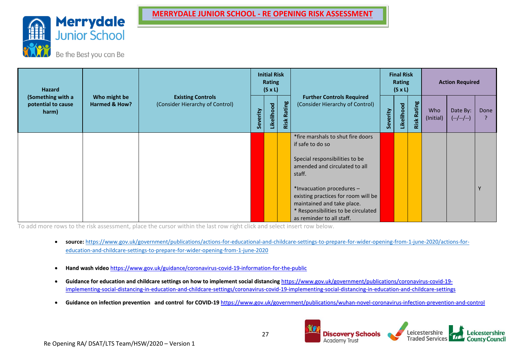

Be the Best you can Be

| <b>Hazard</b>                                    |                                          |                                                             |                                          | <b>Initial Risk</b><br><b>Rating</b><br>$(S \times L)$ |  |                                                                                                                                                                    | <b>Final Risk</b><br><b>Rating</b><br>$(S \times L)$ |            |                    | <b>Action Required</b> |                         |      |
|--------------------------------------------------|------------------------------------------|-------------------------------------------------------------|------------------------------------------|--------------------------------------------------------|--|--------------------------------------------------------------------------------------------------------------------------------------------------------------------|------------------------------------------------------|------------|--------------------|------------------------|-------------------------|------|
| (Something with a<br>potential to cause<br>harm) | Who might be<br><b>Harmed &amp; How?</b> | <b>Existing Controls</b><br>(Consider Hierarchy of Control) | Rating<br>Likelihood<br>Severity<br>Risk |                                                        |  | <b>Further Controls Required</b><br>(Consider Hierarchy of Control)                                                                                                |                                                      | Likelihood | <b>Risk Rating</b> | Who<br>(Initial)       | Date By:<br>$(-/-/-/-)$ | Done |
|                                                  |                                          |                                                             |                                          |                                                        |  | *fire marshals to shut fire doors<br>if safe to do so                                                                                                              |                                                      |            |                    |                        |                         |      |
|                                                  |                                          |                                                             |                                          |                                                        |  | Special responsibilities to be<br>amended and circulated to all<br>staff.                                                                                          |                                                      |            |                    |                        |                         |      |
|                                                  |                                          |                                                             |                                          |                                                        |  | *Invacuation procedures -<br>existing practices for room will be<br>maintained and take place.<br>* Responsibilities to be circulated<br>as reminder to all staff. |                                                      |            |                    |                        |                         |      |

To add more rows to the risk assessment, place the cursor within the last row right click and select insert row below.

- **source:** [https://www.gov.uk/government/publications/actions-for-educational-and-childcare-settings-to-prepare-for-wider-opening-from-1-june-2020/actions-for](https://www.gov.uk/government/publications/actions-for-educational-and-childcare-settings-to-prepare-for-wider-opening-from-1-june-2020/actions-for-education-and-childcare-settings-to-prepare-for-wider-opening-from-1-june-2020)[education-and-childcare-settings-to-prepare-for-wider-opening-from-1-june-2020](https://www.gov.uk/government/publications/actions-for-educational-and-childcare-settings-to-prepare-for-wider-opening-from-1-june-2020/actions-for-education-and-childcare-settings-to-prepare-for-wider-opening-from-1-june-2020)
- **Hand wash video** <https://www.gov.uk/guidance/coronavirus-covid-19-information-for-the-public>
- Guidance for education and childcare settings on how to implement social distancing [https://www.gov.uk/government/publications/coronavirus-covid-19](https://www.gov.uk/government/publications/coronavirus-covid-19-implementing-social-distancing-in-education-and-childcare-settings/coronavirus-covid-19-implementing-social-distancing-in-education-and-childcare-settings) [implementing-social-distancing-in-education-and-childcare-settings/coronavirus-covid-19-implementing-social-distancing-in-education-and-childcare-settings](https://www.gov.uk/government/publications/coronavirus-covid-19-implementing-social-distancing-in-education-and-childcare-settings/coronavirus-covid-19-implementing-social-distancing-in-education-and-childcare-settings)
- **Guidance on infection prevention and control for COVID-19** <https://www.gov.uk/government/publications/wuhan-novel-coronavirus-infection-prevention-and-control>

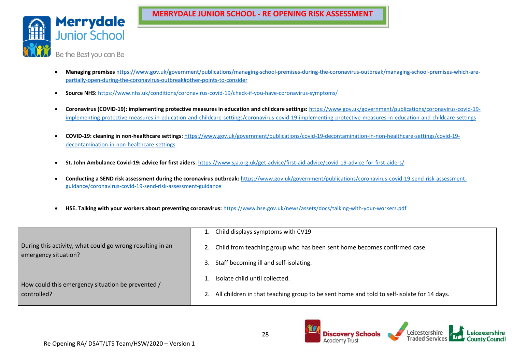

- **Managing premises** [https://www.gov.uk/government/publications/managing-school-premises-during-the-coronavirus-outbreak/managing-school-premises-which-are](https://www.gov.uk/government/publications/managing-school-premises-during-the-coronavirus-outbreak/managing-school-premises-which-are-partially-open-during-the-coronavirus-outbreak#other-points-to-consider)[partially-open-during-the-coronavirus-outbreak#other-points-to-consider](https://www.gov.uk/government/publications/managing-school-premises-during-the-coronavirus-outbreak/managing-school-premises-which-are-partially-open-during-the-coronavirus-outbreak#other-points-to-consider)
- **Source NHS:** <https://www.nhs.uk/conditions/coronavirus-covid-19/check-if-you-have-coronavirus-symptoms/>
- **Coronavirus (COVID-19): implementing protective measures in education and childcare settings:** [https://www.gov.uk/government/publications/coronavirus-covid-19](https://www.gov.uk/government/publications/coronavirus-covid-19-implementing-protective-measures-in-education-and-childcare-settings/coronavirus-covid-19-implementing-protective-measures-in-education-and-childcare-settings) [implementing-protective-measures-in-education-and-childcare-settings/coronavirus-covid-19-implementing-protective-measures-in-education-and-childcare-settings](https://www.gov.uk/government/publications/coronavirus-covid-19-implementing-protective-measures-in-education-and-childcare-settings/coronavirus-covid-19-implementing-protective-measures-in-education-and-childcare-settings)
- **COVID-19: cleaning in non-healthcare settings**[: https://www.gov.uk/government/publications/covid-19-decontamination-in-non-healthcare-settings/covid-19](https://www.gov.uk/government/publications/covid-19-decontamination-in-non-healthcare-settings/covid-19-decontamination-in-non-healthcare-settings) [decontamination-in-non-healthcare-settings](https://www.gov.uk/government/publications/covid-19-decontamination-in-non-healthcare-settings/covid-19-decontamination-in-non-healthcare-settings)
- **St. John Ambulance Covid-19: advice for first aiders**:<https://www.sja.org.uk/get-advice/first-aid-advice/covid-19-advice-for-first-aiders/>
- **Conducting a SEND risk assessment during the coronavirus outbreak:** [https://www.gov.uk/government/publications/coronavirus-covid-19-send-risk-assessment](https://www.gov.uk/government/publications/coronavirus-covid-19-send-risk-assessment-guidance/coronavirus-covid-19-send-risk-assessment-guidance)[guidance/coronavirus-covid-19-send-risk-assessment-guidance](https://www.gov.uk/government/publications/coronavirus-covid-19-send-risk-assessment-guidance/coronavirus-covid-19-send-risk-assessment-guidance)
- **HSE. Talking with your workers about preventing coronavirus:** <https://www.hse.gov.uk/news/assets/docs/talking-with-your-workers.pdf>

|                                                                                   | Child displays symptoms with CV19                                                         |  |  |  |  |  |
|-----------------------------------------------------------------------------------|-------------------------------------------------------------------------------------------|--|--|--|--|--|
| During this activity, what could go wrong resulting in an<br>emergency situation? | Child from teaching group who has been sent home becomes confirmed case.                  |  |  |  |  |  |
|                                                                                   | Staff becoming ill and self-isolating.<br>3.                                              |  |  |  |  |  |
| How could this emergency situation be prevented /                                 | Isolate child until collected.                                                            |  |  |  |  |  |
| controlled?                                                                       | All children in that teaching group to be sent home and told to self-isolate for 14 days. |  |  |  |  |  |



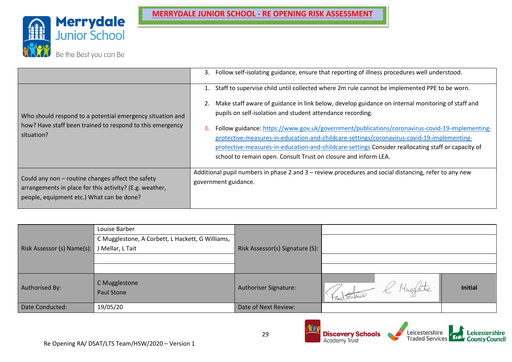

|                                                                                                                                                           | 3. Follow self-isolating guidance, ensure that reporting of illness procedures well understood.                                                                                                                                                                                                                                                                                                                                                                                                                                                                                                                                                  |
|-----------------------------------------------------------------------------------------------------------------------------------------------------------|--------------------------------------------------------------------------------------------------------------------------------------------------------------------------------------------------------------------------------------------------------------------------------------------------------------------------------------------------------------------------------------------------------------------------------------------------------------------------------------------------------------------------------------------------------------------------------------------------------------------------------------------------|
| Who should respond to a potential emergency situation and<br>how? Have staff been trained to respond to this emergency<br>situation?                      | Staff to supervise child until collected where 2m rule cannot be implemented PPE to be worn.<br>2. Make staff aware of guidance in link below, develop guidance on internal monitoring of staff and<br>pupils on self-isolation and student attendance recording.<br>Follow guidance: https://www.gov.uk/government/publications/coronavirus-covid-19-implementing-<br>З.<br>protective-measures-in-education-and-childcare-settings/coronavirus-covid-19-implementing-<br>protective-measures-in-education-and-childcare-settings Consider reallocating staff or capacity of<br>school to remain open. Consult Trust on closure and inform LEA. |
| Could any non - routine changes affect the safety<br>arrangements in place for this activity? (E.g. weather,<br>people, equipment etc.) What can be done? | Additional pupil numbers in phase 2 and 3 - review procedures and social distancing, refer to any new<br>government guidance.                                                                                                                                                                                                                                                                                                                                                                                                                                                                                                                    |

|                            | Louise Barber                                    |                                 |                         |                |
|----------------------------|--------------------------------------------------|---------------------------------|-------------------------|----------------|
|                            | C Mugglestone, A Corbett, L Hackett, G Williams, |                                 |                         |                |
| Risk Assessor (s) Name(s): | J Mellar, L Tait                                 | Risk Assessor(s) Signature (S): |                         |                |
|                            |                                                  |                                 |                         |                |
|                            |                                                  |                                 |                         |                |
| Authorised By:             | C Mugglestone<br>Paul Stone                      | <b>Authoriser Signature:</b>    | K Mugfatre<br>Kan Shine | <b>Initial</b> |
| Date Conducted:            | 19/05/20                                         | Date of Next Review:            |                         |                |

Leicestershire<br>Traded Services

**Discovery Schools**<br>Academy Trust

Leicestershire<br>County Council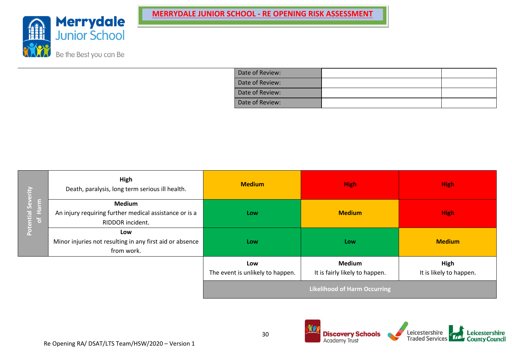

| Date of Review: |  |
|-----------------|--|
| Date of Review: |  |
| Date of Review: |  |
| Date of Review: |  |

|                                         | High<br>Death, paralysis, long term serious ill health.                                     | <b>Medium</b>                           | <b>High</b>                                     | <b>High</b>                     |  |  |
|-----------------------------------------|---------------------------------------------------------------------------------------------|-----------------------------------------|-------------------------------------------------|---------------------------------|--|--|
| <b>Potential Severity</b><br>Harm<br> 2 | <b>Medium</b><br>An injury requiring further medical assistance or is a<br>RIDDOR incident. | Low                                     | <b>Medium</b>                                   | <b>High</b>                     |  |  |
|                                         | Low<br>Minor injuries not resulting in any first aid or absence<br>from work.               | Low                                     | Low                                             | <b>Medium</b>                   |  |  |
|                                         |                                                                                             | Low<br>The event is unlikely to happen. | <b>Medium</b><br>It is fairly likely to happen. | High<br>It is likely to happen. |  |  |
|                                         |                                                                                             | <b>Likelihood of Harm Occurring</b>     |                                                 |                                 |  |  |